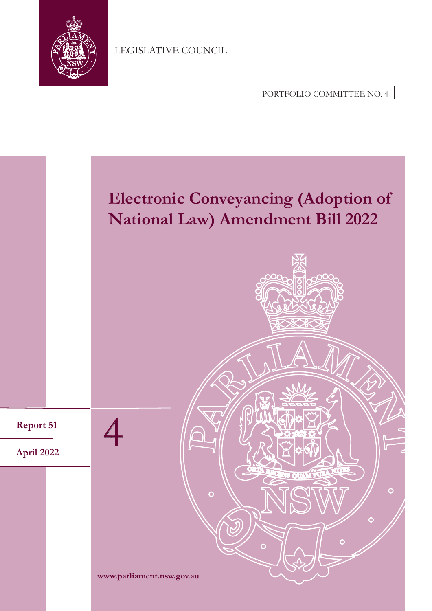

LEGISLATIVE COUNCIL

PORTFOLIO COMMITTEE NO. 4

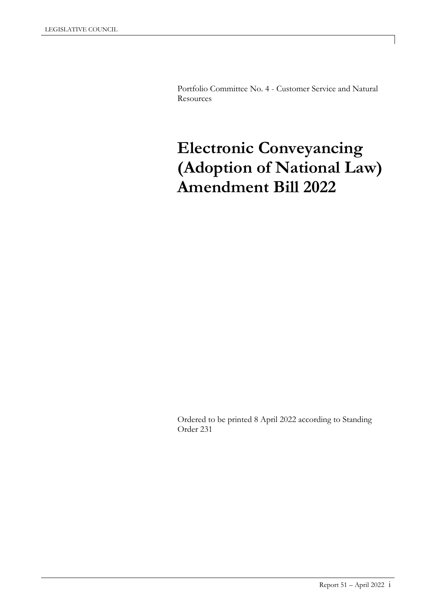Portfolio Committee No. 4 - Customer Service and Natural **Resources** 

# **Electronic Conveyancing (Adoption of National Law) Amendment Bill 2022**

Ordered to be printed 8 April 2022 according to Standing Order 231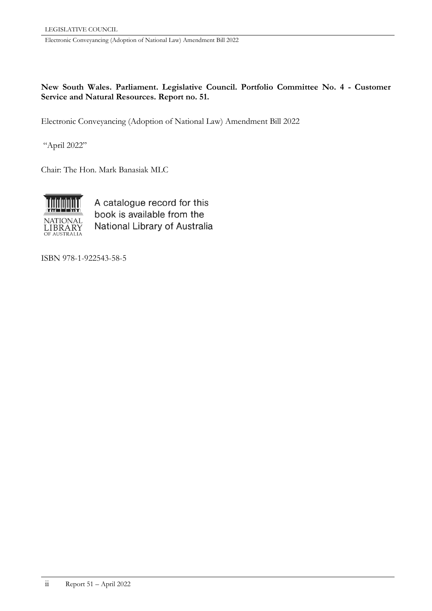**New South Wales. Parliament. Legislative Council. Portfolio Committee No. 4 - Customer Service and Natural Resources. Report no. 51.**

Electronic Conveyancing (Adoption of National Law) Amendment Bill 2022

"April 2022"

Chair: The Hon. Mark Banasiak MLC



A catalogue record for this book is available from the National Library of Australia

ISBN 978-1-922543-58-5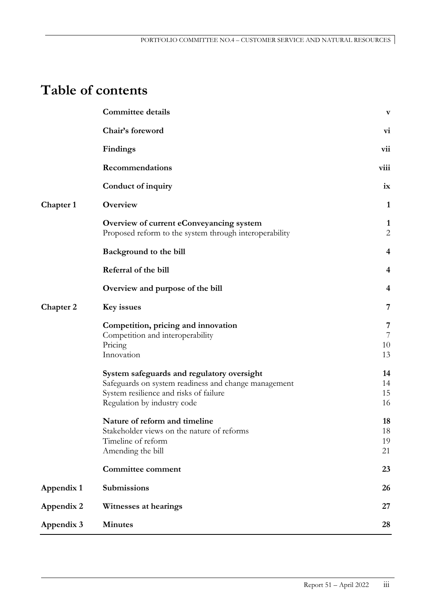# **Table of contents**

|                  | <b>Committee details</b>                                                                                                                                                    | $\mathbf{V}$                    |
|------------------|-----------------------------------------------------------------------------------------------------------------------------------------------------------------------------|---------------------------------|
|                  | Chair's foreword                                                                                                                                                            | <b>vi</b>                       |
|                  | <b>Findings</b>                                                                                                                                                             | vii                             |
|                  | Recommendations                                                                                                                                                             | viii                            |
|                  | Conduct of inquiry                                                                                                                                                          | ix                              |
| Chapter 1        | Overview                                                                                                                                                                    | $\mathbf{1}$                    |
|                  | Overview of current eConveyancing system<br>Proposed reform to the system through interoperability                                                                          | $\mathbf{1}$<br>$\mathbf{2}$    |
|                  | Background to the bill                                                                                                                                                      | 4                               |
|                  | Referral of the bill                                                                                                                                                        | 4                               |
|                  | Overview and purpose of the bill                                                                                                                                            | $\overline{\mathbf{4}}$         |
| <b>Chapter 2</b> | Key issues                                                                                                                                                                  | 7                               |
|                  | Competition, pricing and innovation<br>Competition and interoperability<br>Pricing<br>Innovation                                                                            | 7<br>$\overline{7}$<br>10<br>13 |
|                  | System safeguards and regulatory oversight<br>Safeguards on system readiness and change management<br>System resilience and risks of failure<br>Regulation by industry code | 14<br>14<br>15<br>16            |
|                  | Nature of reform and timeline<br>Stakeholder views on the nature of reforms<br>Timeline of reform<br>Amending the bill                                                      | 18<br>18<br>19<br>21            |
|                  | <b>Committee comment</b>                                                                                                                                                    | 23                              |
| Appendix 1       | <b>Submissions</b>                                                                                                                                                          | 26                              |
| Appendix 2       | Witnesses at hearings                                                                                                                                                       | 27                              |
| Appendix 3       | <b>Minutes</b>                                                                                                                                                              | 28                              |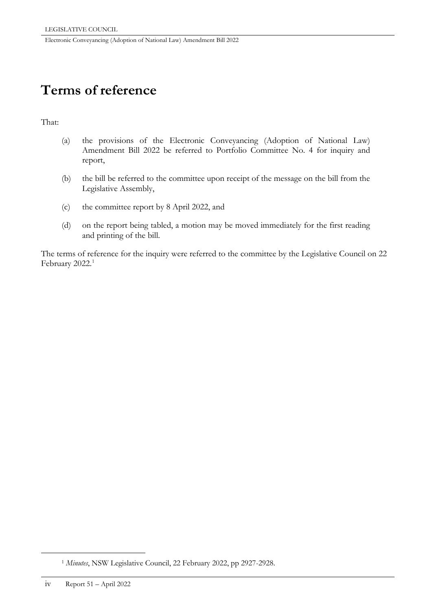# **Terms of reference**

# That:

- (a) the provisions of the Electronic Conveyancing (Adoption of National Law) Amendment Bill 2022 be referred to Portfolio Committee No. 4 for inquiry and report,
- (b) the bill be referred to the committee upon receipt of the message on the bill from the Legislative Assembly,
- (c) the committee report by 8 April 2022, and
- (d) on the report being tabled, a motion may be moved immediately for the first reading and printing of the bill.

The terms of reference for the inquiry were referred to the committee by the Legislative Council on 22 February  $2022.<sup>1</sup>$  $2022.<sup>1</sup>$  $2022.<sup>1</sup>$ 

<span id="page-5-0"></span>-

<sup>1</sup> *Minutes*, NSW Legislative Council, 22 February 2022, pp 2927-2928.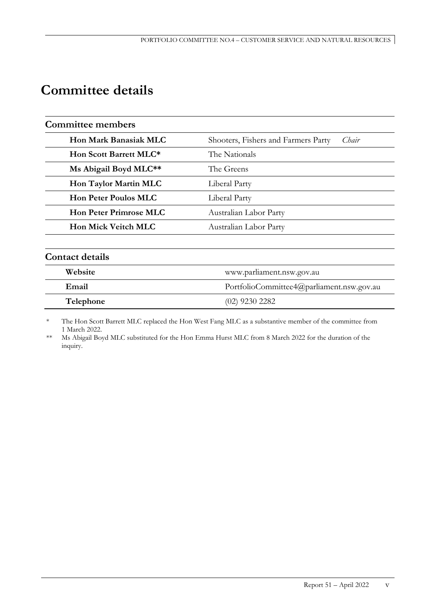# **Committee details**

| <b>Committee members</b>      |                                              |  |
|-------------------------------|----------------------------------------------|--|
| <b>Hon Mark Banasiak MLC</b>  | Shooters, Fishers and Farmers Party<br>Chair |  |
| Hon Scott Barrett MLC*        | The Nationals                                |  |
| Ms Abigail Boyd MLC**         | The Greens                                   |  |
| Hon Taylor Martin MLC         | Liberal Party                                |  |
| <b>Hon Peter Poulos MLC</b>   | Liberal Party                                |  |
| <b>Hon Peter Primrose MLC</b> | Australian Labor Party                       |  |
| <b>Hon Mick Veitch MLC</b>    | Australian Labor Party                       |  |
| <b>Contact details</b>        |                                              |  |
| Website                       | www.parliament.nsw.gov.au                    |  |
| Email                         | PortfolioCommittee4@parliament.nsw.gov.au    |  |
| Telephone                     | (02) 9230 2282                               |  |

The Hon Scott Barrett MLC replaced the Hon West Fang MLC as a substantive member of the committee from 1 March 2022.

\*\* Ms Abigail Boyd MLC substituted for the Hon Emma Hurst MLC from 8 March 2022 for the duration of the inquiry.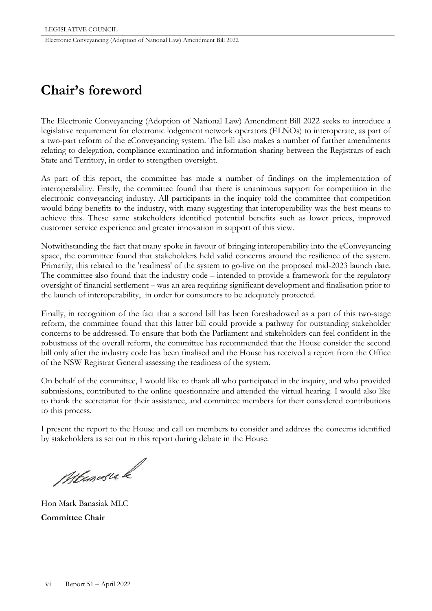# **Chair's foreword**

The Electronic Conveyancing (Adoption of National Law) Amendment Bill 2022 seeks to introduce a legislative requirement for electronic lodgement network operators (ELNOs) to interoperate, as part of a two-part reform of the eConveyancing system. The bill also makes a number of further amendments relating to delegation, compliance examination and information sharing between the Registrars of each State and Territory, in order to strengthen oversight.

As part of this report, the committee has made a number of findings on the implementation of interoperability. Firstly, the committee found that there is unanimous support for competition in the electronic conveyancing industry. All participants in the inquiry told the committee that competition would bring benefits to the industry, with many suggesting that interoperability was the best means to achieve this. These same stakeholders identified potential benefits such as lower prices, improved customer service experience and greater innovation in support of this view.

Notwithstanding the fact that many spoke in favour of bringing interoperability into the eConveyancing space, the committee found that stakeholders held valid concerns around the resilience of the system. Primarily, this related to the 'readiness' of the system to go-live on the proposed mid-2023 launch date. The committee also found that the industry code – intended to provide a framework for the regulatory oversight of financial settlement – was an area requiring significant development and finalisation prior to the launch of interoperability, in order for consumers to be adequately protected.

Finally, in recognition of the fact that a second bill has been foreshadowed as a part of this two-stage reform, the committee found that this latter bill could provide a pathway for outstanding stakeholder concerns to be addressed. To ensure that both the Parliament and stakeholders can feel confident in the robustness of the overall reform, the committee has recommended that the House consider the second bill only after the industry code has been finalised and the House has received a report from the Office of the NSW Registrar General assessing the readiness of the system.

On behalf of the committee, I would like to thank all who participated in the inquiry, and who provided submissions, contributed to the online questionnaire and attended the virtual hearing. I would also like to thank the secretariat for their assistance, and committee members for their considered contributions to this process.

I present the report to the House and call on members to consider and address the concerns identified by stakeholders as set out in this report during debate in the House.

Mburasia k

Hon Mark Banasiak MLC **Committee Chair**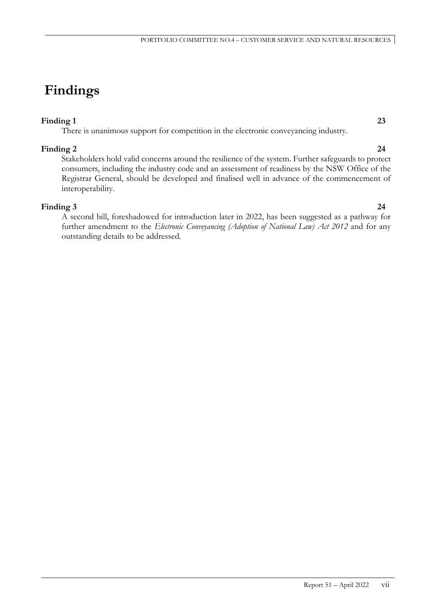# **Findings**

# **Finding 1 23**

There is unanimous support for competition in the electronic conveyancing industry.

**Finding 2 24** Stakeholders hold valid concerns around the resilience of the system. Further safeguards to protect consumers, including the industry code and an assessment of readiness by the NSW Office of the Registrar General, should be developed and finalised well in advance of the commencement of interoperability.

**Finding 3 24** A second bill, foreshadowed for introduction later in 2022, has been suggested as a pathway for further amendment to the *Electronic Conveyancing (Adoption of National Law) Act 2012* and for any outstanding details to be addressed*.*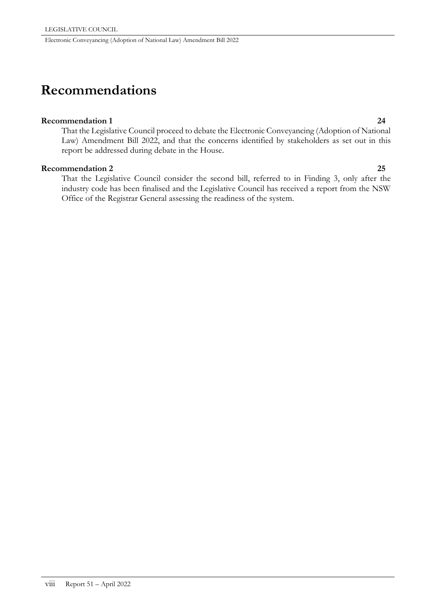# **Recommendations**

#### **Recommendation 1 24**

That the Legislative Council proceed to debate the Electronic Conveyancing (Adoption of National Law) Amendment Bill 2022, and that the concerns identified by stakeholders as set out in this report be addressed during debate in the House.

### **Recommendation 2 25**

That the Legislative Council consider the second bill, referred to in Finding 3, only after the industry code has been finalised and the Legislative Council has received a report from the NSW Office of the Registrar General assessing the readiness of the system.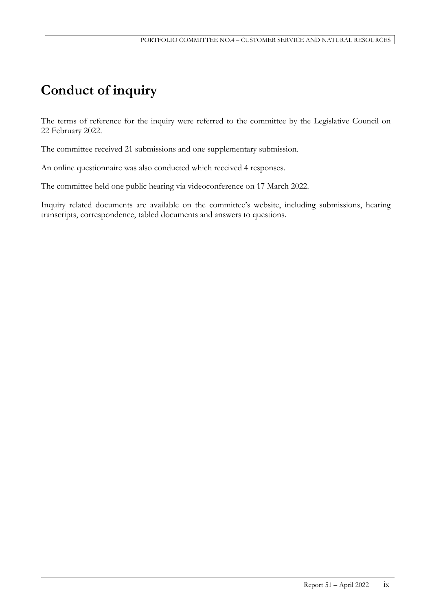# **Conduct of inquiry**

The terms of reference for the inquiry were referred to the committee by the Legislative Council on 22 February 2022.

The committee received 21 submissions and one supplementary submission.

An online questionnaire was also conducted which received 4 responses.

The committee held one public hearing via videoconference on 17 March 2022.

Inquiry related documents are available on the committee's website, including submissions, hearing transcripts, correspondence, tabled documents and answers to questions.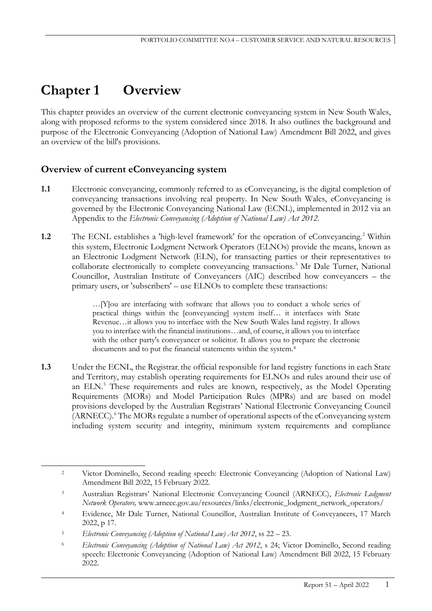# **Chapter 1 Overview**

This chapter provides an overview of the current electronic conveyancing system in New South Wales, along with proposed reforms to the system considered since 2018. It also outlines the background and purpose of the Electronic Conveyancing (Adoption of National Law) Amendment Bill 2022, and gives an overview of the bill's provisions.

# **Overview of current eConveyancing system**

- **1.1** Electronic conveyancing, commonly referred to as eConveyancing, is the digital completion of conveyancing transactions involving real property. In New South Wales, eConveyancing is governed by the Electronic Conveyancing National Law (ECNL), implemented in 2012 via an Appendix to the *Electronic Conveyancing (Adoption of National Law) Act 2012*.
- 1.[2](#page-12-0) The ECNL establishes a 'high-level framework' for the operation of eConveyancing.<sup>2</sup> Within this system, Electronic Lodgment Network Operators (ELNOs) provide the means, known as an Electronic Lodgment Network (ELN), for transacting parties or their representatives to collaborate electronically to complete conveyancing transactions.<sup>[3](#page-12-1)</sup> Mr Dale Turner, National Councillor, Australian Institute of Conveyancers (AIC) described how conveyancers – the primary users, or 'subscribers' – use ELNOs to complete these transactions:

…[Y]ou are interfacing with software that allows you to conduct a whole series of practical things within the [conveyancing] system itself… it interfaces with State Revenue…it allows you to interface with the New South Wales land registry. It allows you to interface with the financial institutions…and, of course, it allows you to interface with the other party's conveyancer or solicitor. It allows you to prepare the electronic documents and to put the financial statements within the system.[4](#page-12-2)

**1.3** Under the ECNL, the Registrar, the official responsible for land registry functions in each State and Territory, may establish operating requirements for ELNOs and rules around their use of an ELN.<sup>[5](#page-12-3)</sup> These requirements and rules are known, respectively, as the Model Operating Requirements (MORs) and Model Participation Rules (MPRs) and are based on model provisions developed by the Australian Registrars' National Electronic Conveyancing Council (ARNECC).<sup>[6](#page-12-4)</sup> The MORs regulate a number of operational aspects of the eConveyancing system including system security and integrity, minimum system requirements and compliance

<span id="page-12-0"></span> <sup>2</sup> Victor Dominello, Second reading speech: Electronic Conveyancing (Adoption of National Law) Amendment Bill 2022, 15 February 2022.

<span id="page-12-1"></span><sup>3</sup> Australian Registrars' National Electronic Conveyancing Council (ARNECC), *Electronic Lodgment Network Operators,* www.arnecc.gov.au/resources/links/electronic\_lodgment\_network\_operators/

<span id="page-12-2"></span><sup>4</sup> Evidence, Mr Dale Turner, National Councillor, Australian Institute of Conveyancers, 17 March 2022, p 17.

<span id="page-12-3"></span><sup>5</sup> *Electronic Conveyancing (Adoption of National Law) Act 2012*, ss 22 – 23.

<span id="page-12-4"></span><sup>6</sup> *Electronic Conveyancing (Adoption of National Law) Act 2012*, s 24; Victor Dominello, Second reading speech: Electronic Conveyancing (Adoption of National Law) Amendment Bill 2022, 15 February 2022.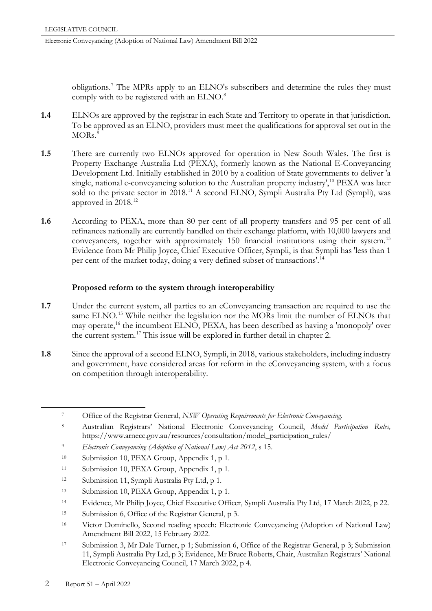obligations.[7](#page-13-0) The MPRs apply to an ELNO's subscribers and determine the rules they must comply with to be registered with an ELNO.<sup>[8](#page-13-1)</sup>

- **1.4** ELNOs are approved by the registrar in each State and Territory to operate in that jurisdiction. To be approved as an ELNO, providers must meet the qualifications for approval set out in the  $MORs.<sup>9</sup>$  $MORs.<sup>9</sup>$  $MORs.<sup>9</sup>$
- **1.5** There are currently two ELNOs approved for operation in New South Wales. The first is Property Exchange Australia Ltd (PEXA), formerly known as the National E-Conveyancing Development Ltd. Initially established in 2010 by a coalition of State governments to deliver 'a single, national e-conveyancing solution to the Australian property industry',<sup>[10](#page-13-3)</sup> PEXA was later sold to the private sector in 2018.<sup>[11](#page-13-4)</sup> A second ELNO, Sympli Australia Pty Ltd (Sympli), was approved in 2018.<sup>12</sup>
- **1.6** According to PEXA, more than 80 per cent of all property transfers and 95 per cent of all refinances nationally are currently handled on their exchange platform, with 10,000 lawyers and conveyancers, together with approximately 150 financial institutions using their system.<sup>[13](#page-13-6)</sup> Evidence from Mr Philip Joyce, Chief Executive Officer, Sympli, is that Sympli has 'less than 1 per cent of the market today, doing a very defined subset of transactions'.[14](#page-13-7)

# **Proposed reform to the system through interoperability**

- **1.7** Under the current system, all parties to an eConveyancing transaction are required to use the same ELNO.<sup>[15](#page-13-8)</sup> While neither the legislation nor the MORs limit the number of ELNOs that may operate,[16](#page-13-9) the incumbent ELNO, PEXA, has been described as having a 'monopoly' over the current system.[17](#page-13-10) This issue will be explored in further detail in chapter 2.
- **1.8** Since the approval of a second ELNO, Sympli, in 2018, various stakeholders, including industry and government, have considered areas for reform in the eConveyancing system, with a focus on competition through interoperability.

- <span id="page-13-2"></span><sup>9</sup> *Electronic Conveyancing (Adoption of National Law) Act 2012*, s 15.
- <span id="page-13-3"></span><sup>10</sup> Submission 10, PEXA Group, Appendix 1, p 1.
- <span id="page-13-4"></span><sup>11</sup> Submission 10, PEXA Group, Appendix 1, p 1.
- <span id="page-13-5"></span><sup>12</sup> Submission 11, Sympli Australia Pty Ltd, p 1.
- <span id="page-13-6"></span><sup>13</sup> Submission 10, PEXA Group, Appendix 1, p 1.
- <span id="page-13-7"></span><sup>14</sup> Evidence, Mr Philip Joyce, Chief Executive Officer, Sympli Australia Pty Ltd, 17 March 2022, p 22.
- <span id="page-13-8"></span><sup>15</sup> Submission 6, Office of the Registrar General, p 3.
- <span id="page-13-9"></span><sup>16</sup> Victor Dominello, Second reading speech: Electronic Conveyancing (Adoption of National Law) Amendment Bill 2022, 15 February 2022.
- <span id="page-13-10"></span><sup>17</sup> Submission 3, Mr Dale Turner, p 1; Submission 6, Office of the Registrar General, p 3; Submission 11, Sympli Australia Pty Ltd, p 3; Evidence, Mr Bruce Roberts, Chair, Australian Registrars' National Electronic Conveyancing Council, 17 March 2022, p 4.

<span id="page-13-0"></span> <sup>7</sup> Office of the Registrar General, *NSW Operating Requirements for Electronic Conveyancing*.

<span id="page-13-1"></span><sup>8</sup> Australian Registrars' National Electronic Conveyancing Council, *Model Participation Rules,*  https://www.arnecc.gov.au/resources/consultation/model\_participation\_rules/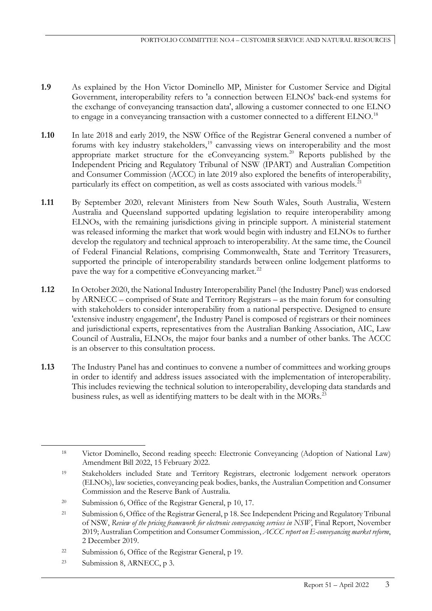- **1.9** As explained by the Hon Victor Dominello MP, Minister for Customer Service and Digital Government, interoperability refers to 'a connection between ELNOs' back-end systems for the exchange of conveyancing transaction data', allowing a customer connected to one ELNO to engage in a conveyancing transaction with a customer connected to a different ELNO.<sup>[18](#page-14-0)</sup>
- **1.10** In late 2018 and early 2019, the NSW Office of the Registrar General convened a number of forums with key industry stakeholders,<sup>[19](#page-14-1)</sup> canvassing views on interoperability and the most appropriate market structure for the eConveyancing system.<sup>[20](#page-14-2)</sup> Reports published by the Independent Pricing and Regulatory Tribunal of NSW (IPART) and Australian Competition and Consumer Commission (ACCC) in late 2019 also explored the benefits of interoperability, particularly its effect on competition, as well as costs associated with various models.<sup>[21](#page-14-3)</sup>
- **1.11** By September 2020, relevant Ministers from New South Wales, South Australia, Western Australia and Queensland supported updating legislation to require interoperability among ELNOs, with the remaining jurisdictions giving in principle support. A ministerial statement was released informing the market that work would begin with industry and ELNOs to further develop the regulatory and technical approach to interoperability. At the same time, the Council of Federal Financial Relations, comprising Commonwealth, State and Territory Treasurers, supported the principle of interoperability standards between online lodgement platforms to pave the way for a competitive eConveyancing market.<sup>[22](#page-14-4)</sup>
- **1.12** In October 2020, the National Industry Interoperability Panel (the Industry Panel) was endorsed by ARNECC – comprised of State and Territory Registrars – as the main forum for consulting with stakeholders to consider interoperability from a national perspective. Designed to ensure 'extensive industry engagement', the Industry Panel is composed of registrars or their nominees and jurisdictional experts, representatives from the Australian Banking Association, AIC, Law Council of Australia, ELNOs, the major four banks and a number of other banks. The ACCC is an observer to this consultation process.
- **1.13** The Industry Panel has and continues to convene a number of committees and working groups in order to identify and address issues associated with the implementation of interoperability. This includes reviewing the technical solution to interoperability, developing data standards and business rules, as well as identifying matters to be dealt with in the MORs.<sup>[23](#page-14-5)</sup>

<span id="page-14-5"></span><sup>23</sup> Submission 8, ARNECC, p 3.

<span id="page-14-0"></span> <sup>18</sup> Victor Dominello, Second reading speech: Electronic Conveyancing (Adoption of National Law) Amendment Bill 2022, 15 February 2022.

<span id="page-14-1"></span><sup>19</sup> Stakeholders included State and Territory Registrars, electronic lodgement network operators (ELNOs), law societies, conveyancing peak bodies, banks, the Australian Competition and Consumer Commission and the Reserve Bank of Australia.

<span id="page-14-2"></span><sup>&</sup>lt;sup>20</sup> Submission 6, Office of the Registrar General, p 10, 17.

<span id="page-14-3"></span><sup>21</sup> Submission 6, Office of the Registrar General, p 18. See Independent Pricing and Regulatory Tribunal of NSW, *Review of the pricing framework for electronic conveyancing services in NSW*, Final Report, November 2019; Australian Competition and Consumer Commission, *ACCC report on E-conveyancing market reform*, 2 December 2019.

<span id="page-14-4"></span><sup>22</sup> Submission 6, Office of the Registrar General, p 19.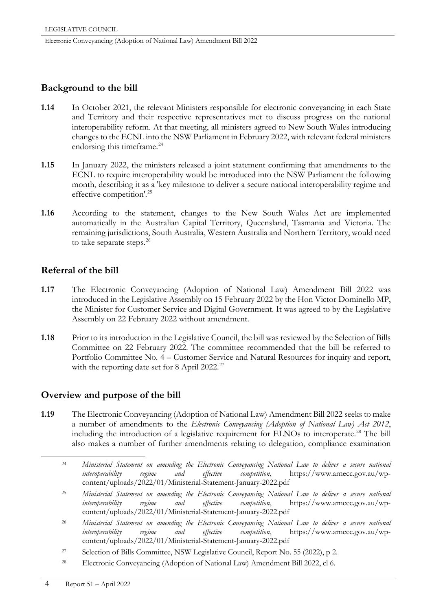# **Background to the bill**

- **1.14** In October 2021, the relevant Ministers responsible for electronic conveyancing in each State and Territory and their respective representatives met to discuss progress on the national interoperability reform. At that meeting, all ministers agreed to New South Wales introducing changes to the ECNL into the NSW Parliament in February 2022, with relevant federal ministers endorsing this timeframe.<sup>[24](#page-15-0)</sup>
- **1.15** In January 2022, the ministers released a joint statement confirming that amendments to the ECNL to require interoperability would be introduced into the NSW Parliament the following month, describing it as a 'key milestone to deliver a secure national interoperability regime and effective competition'.[25](#page-15-1)
- **1.16** According to the statement, changes to the New South Wales Act are implemented automatically in the Australian Capital Territory, Queensland, Tasmania and Victoria. The remaining jurisdictions, South Australia, Western Australia and Northern Territory, would need to take separate steps.<sup>[26](#page-15-2)</sup>

# **Referral of the bill**

- **1.17** The Electronic Conveyancing (Adoption of National Law) Amendment Bill 2022 was introduced in the Legislative Assembly on 15 February 2022 by the Hon Victor Dominello MP, the Minister for Customer Service and Digital Government. It was agreed to by the Legislative Assembly on 22 February 2022 without amendment.
- **1.18** Prior to its introduction in the Legislative Council, the bill was reviewed by the Selection of Bills Committee on 22 February 2022. The committee recommended that the bill be referred to Portfolio Committee No. 4 – Customer Service and Natural Resources for inquiry and report, with the reporting date set for 8 April 2022.<sup>[27](#page-15-3)</sup>

# **Overview and purpose of the bill**

- <span id="page-15-4"></span><span id="page-15-3"></span><span id="page-15-2"></span><span id="page-15-1"></span><span id="page-15-0"></span>**1.19** The Electronic Conveyancing (Adoption of National Law) Amendment Bill 2022 seeks to make a number of amendments to the *Electronic Conveyancing (Adoption of National Law) Act 2012*, including the introduction of a legislative requirement for ELNOs to interoperate.<sup>[28](#page-15-4)</sup> The bill also makes a number of further amendments relating to delegation, compliance examination
	- 24 *Ministerial Statement on amending the Electronic Conveyancing National Law to deliver a secure national interoperability regime and effective competition*, https://www.arnecc.gov.au/wpcontent/uploads/2022/01/Ministerial-Statement-January-2022.pdf
	- <sup>25</sup> *Ministerial Statement on amending the Electronic Conveyancing National Law to deliver a secure national interoperability regime and effective competition*, https://www.arnecc.gov.au/wpcontent/uploads/2022/01/Ministerial-Statement-January-2022.pdf
	- <sup>26</sup> *Ministerial Statement on amending the Electronic Conveyancing National Law to deliver a secure national interoperability regime and effective competition*, https://www.arnecc.gov.au/wpcontent/uploads/2022/01/Ministerial-Statement-January-2022.pdf
	- <sup>27</sup> Selection of Bills Committee, NSW Legislative Council, Report No. 55 (2022), p 2.
	- <sup>28</sup> Electronic Conveyancing (Adoption of National Law) Amendment Bill 2022, cl 6.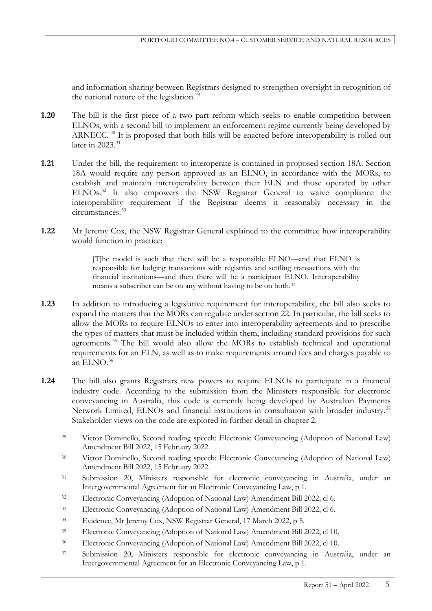and information sharing between Registrars designed to strengthen oversight in recognition of the national nature of the legislation.<sup>[29](#page-16-0)</sup>

- **1.20** The bill is the first piece of a two part reform which seeks to enable competition between ELNOs, with a second bill to implement an enforcement regime currently being developed by ARNECC.<sup>[30](#page-16-1)</sup> It is proposed that both bills will be enacted before interoperability is rolled out later in 2023.<sup>[31](#page-16-2)</sup>
- **1.21** Under the bill, the requirement to interoperate is contained in proposed section 18A. Section 18A would require any person approved as an ELNO, in accordance with the MORs, to establish and maintain interoperability between their ELN and those operated by other ELNOs.<sup>[32](#page-16-3)</sup> It also empowers the NSW Registrar General to waive compliance the interoperability requirement if the Registrar deems it reasonably necessary in the circumstances.[33](#page-16-4)
- **1.22** Mr Jeremy Cox, the NSW Registrar General explained to the committee how interoperability would function in practice:

[T]he model is such that there will be a responsible ELNO—and that ELNO is responsible for lodging transactions with registries and settling transactions with the financial institutions—and then there will be a participant ELNO. Interoperability means a subscriber can be on any without having to be on both.[34](#page-16-5)

- **1.23** In addition to introducing a legislative requirement for interoperability, the bill also seeks to expand the matters that the MORs can regulate under section 22. In particular, the bill seeks to allow the MORs to require ELNOs to enter into interoperability agreements and to prescribe the types of matters that must be included within them, including standard provisions for such agreements.<sup>[35](#page-16-6)</sup> The bill would also allow the MORs to establish technical and operational requirements for an ELN, as well as to make requirements around fees and charges payable to an ELNO $^{36}$  $^{36}$  $^{36}$
- **1.24** The bill also grants Registrars new powers to require ELNOs to participate in a financial industry code. According to the submission from the Ministers responsible for electronic conveyancing in Australia, this code is currently being developed by Australian Payments Network Limited, ELNOs and financial institutions in consultation with broader industry.<sup>[37](#page-16-8)</sup> Stakeholder views on the code are explored in further detail in chapter 2.

- <span id="page-16-5"></span><sup>34</sup> Evidence, Mr Jeremy Cox, NSW Registrar General, 17 March 2022, p 5.
- <span id="page-16-6"></span><sup>35</sup> Electronic Conveyancing (Adoption of National Law) Amendment Bill 2022, cl 10.
- <span id="page-16-7"></span><sup>36</sup> Electronic Conveyancing (Adoption of National Law) Amendment Bill 2022, cl 10.
- <span id="page-16-8"></span><sup>37</sup> Submission 20, Ministers responsible for electronic conveyancing in Australia, under an Intergovernmental Agreement for an Electronic Conveyancing Law, p 1.

<span id="page-16-0"></span> <sup>29</sup> Victor Dominello, Second reading speech: Electronic Conveyancing (Adoption of National Law) Amendment Bill 2022, 15 February 2022.

<span id="page-16-1"></span><sup>30</sup> Victor Dominello, Second reading speech: Electronic Conveyancing (Adoption of National Law) Amendment Bill 2022, 15 February 2022.

<span id="page-16-2"></span><sup>31</sup> Submission 20, Ministers responsible for electronic conveyancing in Australia, under an Intergovernmental Agreement for an Electronic Conveyancing Law, p 1.

<span id="page-16-3"></span><sup>32</sup> Electronic Conveyancing (Adoption of National Law) Amendment Bill 2022, cl 6.

<span id="page-16-4"></span><sup>33</sup> Electronic Conveyancing (Adoption of National Law) Amendment Bill 2022, cl 6.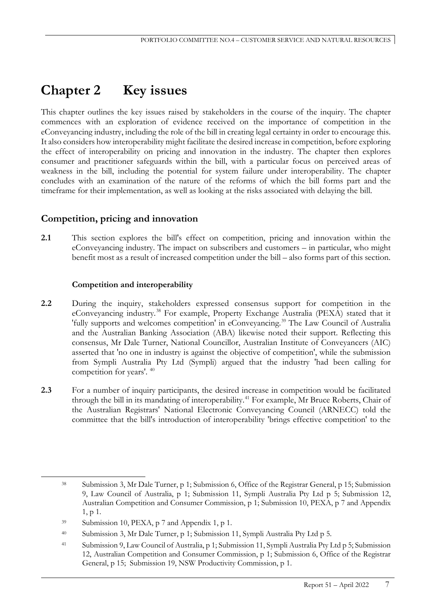# **Chapter 2 Key issues**

This chapter outlines the key issues raised by stakeholders in the course of the inquiry. The chapter commences with an exploration of evidence received on the importance of competition in the eConveyancing industry, including the role of the bill in creating legal certainty in order to encourage this. It also considers how interoperability might facilitate the desired increase in competition, before exploring the effect of interoperability on pricing and innovation in the industry. The chapter then explores consumer and practitioner safeguards within the bill, with a particular focus on perceived areas of weakness in the bill, including the potential for system failure under interoperability. The chapter concludes with an examination of the nature of the reforms of which the bill forms part and the timeframe for their implementation, as well as looking at the risks associated with delaying the bill.

# **Competition, pricing and innovation**

**2.1** This section explores the bill's effect on competition, pricing and innovation within the eConveyancing industry. The impact on subscribers and customers – in particular, who might benefit most as a result of increased competition under the bill – also forms part of this section.

# **Competition and interoperability**

- **2.2** During the inquiry, stakeholders expressed consensus support for competition in the eConveyancing industry.[38](#page-18-0) For example, Property Exchange Australia (PEXA) stated that it 'fully supports and welcomes competition' in eConveyancing.[39](#page-18-1) The Law Council of Australia and the Australian Banking Association (ABA) likewise noted their support. Reflecting this consensus, Mr Dale Turner, National Councillor, Australian Institute of Conveyancers (AIC) asserted that 'no one in industry is against the objective of competition', while the submission from Sympli Australia Pty Ltd (Sympli) argued that the industry 'had been calling for competition for years'. [40](#page-18-2)
- 2.3 For a number of inquiry participants, the desired increase in competition would be facilitated through the bill in its mandating of interoperability.<sup>[41](#page-18-3)</sup> For example, Mr Bruce Roberts, Chair of the Australian Registrars' National Electronic Conveyancing Council (ARNECC) told the committee that the bill's introduction of interoperability 'brings effective competition' to the

<span id="page-18-0"></span> <sup>38</sup> Submission 3, Mr Dale Turner, p 1; Submission 6, Office of the Registrar General, p 15; Submission 9, Law Council of Australia, p 1; Submission 11, Sympli Australia Pty Ltd p 5; Submission 12, Australian Competition and Consumer Commission, p 1; Submission 10, PEXA, p 7 and Appendix 1, p 1.

<span id="page-18-1"></span> $39$  Submission 10, PEXA, p 7 and Appendix 1, p 1.

<span id="page-18-2"></span><sup>40</sup> Submission 3, Mr Dale Turner, p 1; Submission 11, Sympli Australia Pty Ltd p 5.

<span id="page-18-3"></span><sup>41</sup> Submission 9, Law Council of Australia, p 1; Submission 11, Sympli Australia Pty Ltd p 5; Submission 12, Australian Competition and Consumer Commission, p 1; Submission 6, Office of the Registrar General, p 15; Submission 19, NSW Productivity Commission, p 1.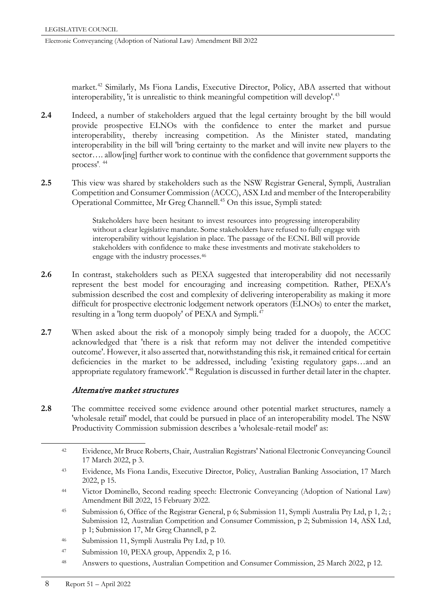market.<sup>[42](#page-19-0)</sup> Similarly, Ms Fiona Landis, Executive Director, Policy, ABA asserted that without interoperability, 'it is unrealistic to think meaningful competition will develop'.<sup>[43](#page-19-1)</sup>

- **2.4** Indeed, a number of stakeholders argued that the legal certainty brought by the bill would provide prospective ELNOs with the confidence to enter the market and pursue interoperability, thereby increasing competition. As the Minister stated, mandating interoperability in the bill will 'bring certainty to the market and will invite new players to the sector.... allow[ing] further work to continue with the confidence that government supports the process'. [44](#page-19-2)
- **2.5** This view was shared by stakeholders such as the NSW Registrar General, Sympli, Australian Competition and Consumer Commission (ACCC), ASX Ltd and member of the Interoperability Operational Committee, Mr Greg Channell.[45](#page-19-3) On this issue, Sympli stated:

Stakeholders have been hesitant to invest resources into progressing interoperability without a clear legislative mandate. Some stakeholders have refused to fully engage with interoperability without legislation in place. The passage of the ECNL Bill will provide stakeholders with confidence to make these investments and motivate stakeholders to engage with the industry processes.[46](#page-19-4)

- **2.6** In contrast, stakeholders such as PEXA suggested that interoperability did not necessarily represent the best model for encouraging and increasing competition. Rather, PEXA's submission described the cost and complexity of delivering interoperability as making it more difficult for prospective electronic lodgement network operators (ELNOs) to enter the market, resulting in a 'long term duopoly' of PEXA and Sympli.<sup>[47](#page-19-5)</sup>
- 2.7 When asked about the risk of a monopoly simply being traded for a duopoly, the ACCC acknowledged that 'there is a risk that reform may not deliver the intended competitive outcome'. However, it also asserted that, notwithstanding this risk, it remained critical for certain deficiencies in the market to be addressed, including 'existing regulatory gaps…and an appropriate regulatory framework'.<sup>[48](#page-19-6)</sup> Regulation is discussed in further detail later in the chapter.

# Alternative market structures

<span id="page-19-0"></span>**2.8** The committee received some evidence around other potential market structures, namely a 'wholesale retail' model, that could be pursued in place of an interoperability model. The NSW Productivity Commission submission describes a 'wholesale-retail model' as:

- <span id="page-19-1"></span><sup>43</sup> Evidence, Ms Fiona Landis, Executive Director, Policy, Australian Banking Association, 17 March 2022, p 15.
- <span id="page-19-2"></span><sup>44</sup> Victor Dominello, Second reading speech: Electronic Conveyancing (Adoption of National Law) Amendment Bill 2022, 15 February 2022.
- <span id="page-19-3"></span><sup>45</sup> Submission 6, Office of the Registrar General, p 6; Submission 11, Sympli Australia Pty Ltd, p 1, 2; ; Submission 12, Australian Competition and Consumer Commission, p 2; Submission 14, ASX Ltd, p 1; Submission 17, Mr Greg Channell, p 2.
- <span id="page-19-4"></span><sup>46</sup> Submission 11, Sympli Australia Pty Ltd, p 10.
- <span id="page-19-5"></span><sup>47</sup> Submission 10, PEXA group, Appendix 2, p 16.
- <span id="page-19-6"></span><sup>48</sup> Answers to questions, Australian Competition and Consumer Commission, 25 March 2022, p 12.

 <sup>42</sup> Evidence, Mr Bruce Roberts, Chair, Australian Registrars' National Electronic Conveyancing Council 17 March 2022, p 3.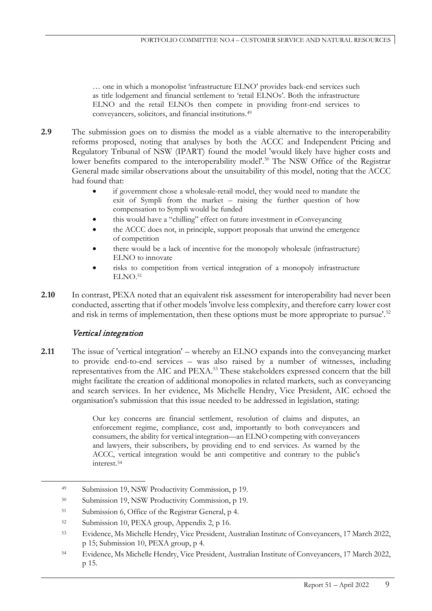… one in which a monopolist 'infrastructure ELNO' provides back-end services such as title lodgement and financial settlement to 'retail ELNOs'. Both the infrastructure ELNO and the retail ELNOs then compete in providing front-end services to conveyancers, solicitors, and financial institutions[.49](#page-20-0)

- **2.9** The submission goes on to dismiss the model as a viable alternative to the interoperability reforms proposed, noting that analyses by both the ACCC and Independent Pricing and Regulatory Tribunal of NSW (IPART) found the model 'would likely have higher costs and lower benefits compared to the interoperability model'.<sup>[50](#page-20-1)</sup> The NSW Office of the Registrar General made similar observations about the unsuitability of this model, noting that the ACCC had found that:
	- if government chose a wholesale-retail model, they would need to mandate the exit of Sympli from the market – raising the further question of how compensation to Sympli would be funded
	- this would have a "chilling" effect on future investment in eConveyancing
	- the ACCC does not, in principle, support proposals that unwind the emergence of competition
	- there would be a lack of incentive for the monopoly wholesale (infrastructure) ELNO to innovate
	- risks to competition from vertical integration of a monopoly infrastructure ELNO.<sup>51</sup>
- **2.10** In contrast, PEXA noted that an equivalent risk assessment for interoperability had never been conducted, asserting that if other models 'involve less complexity, and therefore carry lower cost and risk in terms of implementation, then these options must be more appropriate to pursue'.<sup>[52](#page-20-3)</sup>

# Vertical integration

**2.11** The issue of 'vertical integration' – whereby an ELNO expands into the conveyancing market to provide end-to-end services – was also raised by a number of witnesses, including representatives from the AIC and PEXA. [53](#page-20-4) These stakeholders expressed concern that the bill might facilitate the creation of additional monopolies in related markets, such as conveyancing and search services. In her evidence, Ms Michelle Hendry, Vice President, AIC echoed the organisation's submission that this issue needed to be addressed in legislation, stating:

> Our key concerns are financial settlement, resolution of claims and disputes, an enforcement regime, compliance, cost and, importantly to both conveyancers and consumers, the ability for vertical integration—an ELNO competing with conveyancers and lawyers, their subscribers, by providing end to end services. As warned by the ACCC, vertical integration would be anti competitive and contrary to the public's interest.[54](#page-20-5)

<span id="page-20-0"></span> <sup>49</sup> Submission 19, NSW Productivity Commission, p 19.

<span id="page-20-1"></span><sup>50</sup> Submission 19, NSW Productivity Commission, p 19.

<span id="page-20-2"></span><sup>51</sup> Submission 6, Office of the Registrar General, p 4.

<span id="page-20-3"></span><sup>52</sup> Submission 10, PEXA group, Appendix 2, p 16.

<span id="page-20-4"></span><sup>53</sup> Evidence, Ms Michelle Hendry, Vice President, Australian Institute of Conveyancers, 17 March 2022, p 15; Submission 10, PEXA group, p 4.

<span id="page-20-5"></span><sup>54</sup> Evidence, Ms Michelle Hendry, Vice President, Australian Institute of Conveyancers, 17 March 2022, p 15.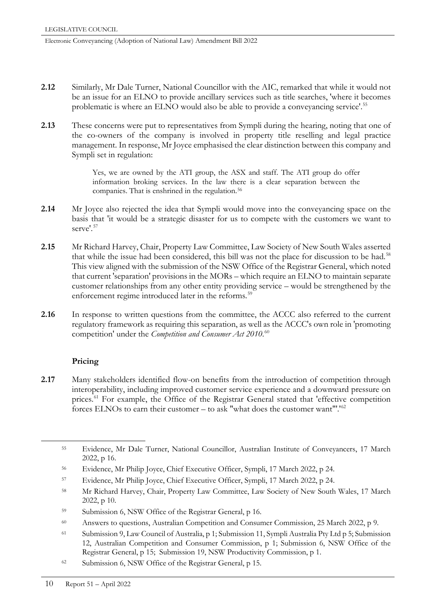- **2.12** Similarly, Mr Dale Turner, National Councillor with the AIC, remarked that while it would not be an issue for an ELNO to provide ancillary services such as title searches, 'where it becomes problematic is where an ELNO would also be able to provide a conveyancing service'.[55](#page-21-0)
- **2.13** These concerns were put to representatives from Sympli during the hearing, noting that one of the co-owners of the company is involved in property title reselling and legal practice management. In response, Mr Joyce emphasised the clear distinction between this company and Sympli set in regulation:

Yes, we are owned by the ATI group, the ASX and staff. The ATI group do offer information broking services. In the law there is a clear separation between the companies. That is enshrined in the regulation.<sup>[56](#page-21-1)</sup>

- **2.14** Mr Joyce also rejected the idea that Sympli would move into the conveyancing space on the basis that 'it would be a strategic disaster for us to compete with the customers we want to serve'.<sup>[57](#page-21-2)</sup>
- **2.15** Mr Richard Harvey, Chair, Property Law Committee, Law Society of New South Wales asserted that while the issue had been considered, this bill was not the place for discussion to be had.[58](#page-21-3) This view aligned with the submission of the NSW Office of the Registrar General, which noted that current 'separation' provisions in the MORs – which require an ELNO to maintain separate customer relationships from any other entity providing service – would be strengthened by the enforcement regime introduced later in the reforms.<sup>[59](#page-21-4)</sup>
- 2.16 In response to written questions from the committee, the ACCC also referred to the current regulatory framework as requiring this separation, as well as the ACCC's own role in 'promoting competition' under the *Competition and Consumer Act 2010*. [60](#page-21-5)

# **Pricing**

2.17 Many stakeholders identified flow-on benefits from the introduction of competition through interoperability, including improved customer service experience and a downward pressure on prices.<sup>[61](#page-21-6)</sup> For example, the Office of the Registrar General stated that 'effective competition forces ELNOs to earn their customer – to ask "what does the customer want"'.'[62](#page-21-7)

- <span id="page-21-2"></span><sup>57</sup> Evidence, Mr Philip Joyce, Chief Executive Officer, Sympli, 17 March 2022, p 24.
- <span id="page-21-3"></span><sup>58</sup> Mr Richard Harvey, Chair, Property Law Committee, Law Society of New South Wales, 17 March 2022, p 10.
- <span id="page-21-4"></span><sup>59</sup> Submission 6, NSW Office of the Registrar General, p 16.
- <span id="page-21-5"></span><sup>60</sup> Answers to questions, Australian Competition and Consumer Commission, 25 March 2022, p 9.
- <span id="page-21-6"></span><sup>61</sup> Submission 9, Law Council of Australia, p 1; Submission 11, Sympli Australia Pty Ltd p 5; Submission 12, Australian Competition and Consumer Commission, p 1; Submission 6, NSW Office of the Registrar General, p 15; Submission 19, NSW Productivity Commission, p 1.
- <span id="page-21-7"></span><sup>62</sup> Submission 6, NSW Office of the Registrar General, p 15.

<span id="page-21-0"></span> <sup>55</sup> Evidence, Mr Dale Turner, National Councillor, Australian Institute of Conveyancers, 17 March 2022, p 16.

<span id="page-21-1"></span><sup>56</sup> Evidence, Mr Philip Joyce, Chief Executive Officer, Sympli, 17 March 2022, p 24.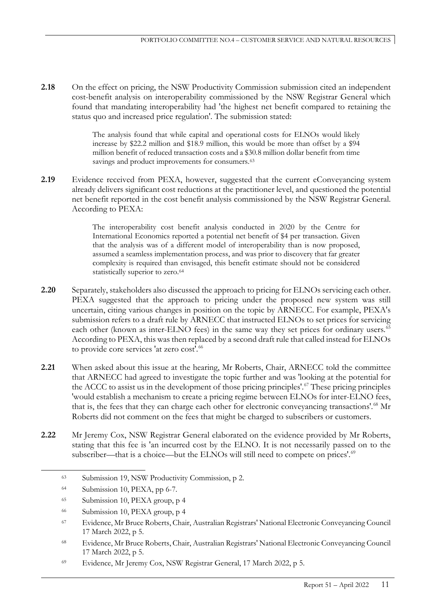**2.18** On the effect on pricing, the NSW Productivity Commission submission cited an independent cost-benefit analysis on interoperability commissioned by the NSW Registrar General which found that mandating interoperability had 'the highest net benefit compared to retaining the status quo and increased price regulation'. The submission stated:

> The analysis found that while capital and operational costs for ELNOs would likely increase by \$22.2 million and \$18.9 million, this would be more than offset by a \$94 million benefit of reduced transaction costs and a \$30.8 million dollar benefit from time savings and product improvements for consumers.<sup>63</sup>

2.19 Evidence received from PEXA, however, suggested that the current eConveyancing system already delivers significant cost reductions at the practitioner level, and questioned the potential net benefit reported in the cost benefit analysis commissioned by the NSW Registrar General. According to PEXA:

> The interoperability cost benefit analysis conducted in 2020 by the Centre for International Economics reported a potential net benefit of \$4 per transaction. Given that the analysis was of a different model of interoperability than is now proposed, assumed a seamless implementation process, and was prior to discovery that far greater complexity is required than envisaged, this benefit estimate should not be considered statistically superior to zero.<sup>[64](#page-22-1)</sup>

- **2.20** Separately, stakeholders also discussed the approach to pricing for ELNOs servicing each other. PEXA suggested that the approach to pricing under the proposed new system was still uncertain, citing various changes in position on the topic by ARNECC. For example, PEXA's submission refers to a draft rule by ARNECC that instructed ELNOs to set prices for servicing each other (known as inter-ELNO fees) in the same way they set prices for ordinary users.<sup>[65](#page-22-2)</sup> According to PEXA, this was then replaced by a second draft rule that called instead for ELNOs to provide core services 'at zero cost'.<sup>[66](#page-22-3)</sup>
- **2.21** When asked about this issue at the hearing, Mr Roberts, Chair, ARNECC told the committee that ARNECC had agreed to investigate the topic further and was 'looking at the potential for the ACCC to assist us in the development of those pricing principles'.<sup>[67](#page-22-4)</sup> These pricing principles 'would establish a mechanism to create a pricing regime between ELNOs for inter-ELNO fees, that is, the fees that they can charge each other for electronic conveyancing transactions'.<sup>[68](#page-22-5)</sup> Mr Roberts did not comment on the fees that might be charged to subscribers or customers.
- <span id="page-22-0"></span>**2.22** Mr Jeremy Cox, NSW Registrar General elaborated on the evidence provided by Mr Roberts, stating that this fee is 'an incurred cost by the ELNO. It is not necessarily passed on to the subscriber—that is a choice—but the ELNOs will still need to compete on prices'.<sup>[69](#page-22-6)</sup>

 <sup>63</sup> Submission 19, NSW Productivity Commission, p 2.

<span id="page-22-1"></span><sup>64</sup> Submission 10, PEXA, pp 6-7.

<span id="page-22-2"></span><sup>65</sup> Submission 10, PEXA group, p 4

<span id="page-22-3"></span><sup>66</sup> Submission 10, PEXA group, p 4

<span id="page-22-4"></span><sup>67</sup> Evidence, Mr Bruce Roberts, Chair, Australian Registrars' National Electronic Conveyancing Council 17 March 2022, p 5.

<span id="page-22-5"></span><sup>68</sup> Evidence, Mr Bruce Roberts, Chair, Australian Registrars' National Electronic Conveyancing Council 17 March 2022, p 5.

<span id="page-22-6"></span><sup>69</sup> Evidence, Mr Jeremy Cox, NSW Registrar General, 17 March 2022, p 5.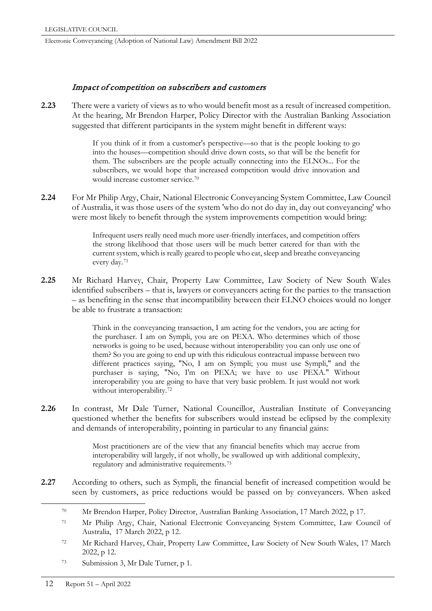# Impact of competition on subscribers and customers

**2.23** There were a variety of views as to who would benefit most as a result of increased competition. At the hearing, Mr Brendon Harper, Policy Director with the Australian Banking Association suggested that different participants in the system might benefit in different ways:

> If you think of it from a customer's perspective—so that is the people looking to go into the houses—competition should drive down costs, so that will be the benefit for them. The subscribers are the people actually connecting into the ELNOs... For the subscribers, we would hope that increased competition would drive innovation and would increase customer service.[70](#page-23-0)

**2.24** For Mr Philip Argy, Chair, National Electronic Conveyancing System Committee, Law Council of Australia, it was those users of the system 'who do not do day in, day out conveyancing' who were most likely to benefit through the system improvements competition would bring:

> Infrequent users really need much more user-friendly interfaces, and competition offers the strong likelihood that those users will be much better catered for than with the current system, which is really geared to people who eat, sleep and breathe conveyancing every day.[71](#page-23-1)

**2.25** Mr Richard Harvey, Chair, Property Law Committee, Law Society of New South Wales identified subscribers – that is, lawyers or conveyancers acting for the parties to the transaction – as benefiting in the sense that incompatibility between their ELNO choices would no longer be able to frustrate a transaction:

> Think in the conveyancing transaction, I am acting for the vendors, you are acting for the purchaser. I am on Sympli, you are on PEXA. Who determines which of those networks is going to be used, because without interoperability you can only use one of them? So you are going to end up with this ridiculous contractual impasse between two different practices saying, "No, I am on Sympli; you must use Sympli," and the purchaser is saying, "No, I'm on PEXA; we have to use PEXA." Without interoperability you are going to have that very basic problem. It just would not work without interoperability.<sup>[72](#page-23-2)</sup>

**2.26** In contrast, Mr Dale Turner, National Councillor, Australian Institute of Conveyancing questioned whether the benefits for subscribers would instead be eclipsed by the complexity and demands of interoperability, pointing in particular to any financial gains:

> Most practitioners are of the view that any financial benefits which may accrue from interoperability will largely, if not wholly, be swallowed up with additional complexity, regulatory and administrative requirements.[73](#page-23-3)

<span id="page-23-1"></span><span id="page-23-0"></span>**2.27** According to others, such as Sympli, the financial benefit of increased competition would be seen by customers, as price reductions would be passed on by conveyancers. When asked

- <span id="page-23-2"></span><sup>72</sup> Mr Richard Harvey, Chair, Property Law Committee, Law Society of New South Wales, 17 March 2022, p 12.
- <span id="page-23-3"></span><sup>73</sup> Submission 3, Mr Dale Turner, p 1.

 <sup>70</sup> Mr Brendon Harper, Policy Director, Australian Banking Association, 17 March 2022, p 17.

<sup>71</sup> Mr Philip Argy, Chair, National Electronic Conveyancing System Committee, Law Council of Australia, 17 March 2022, p 12.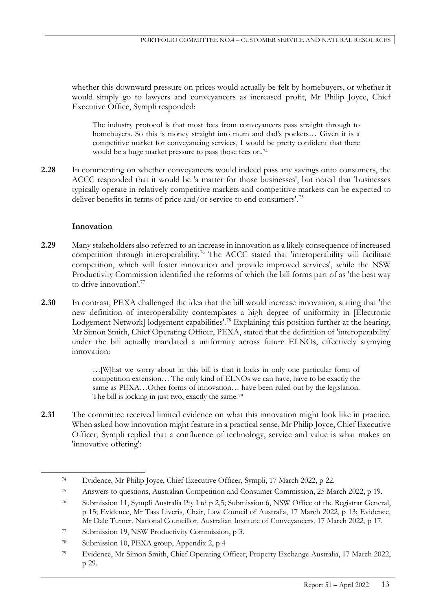whether this downward pressure on prices would actually be felt by homebuyers, or whether it would simply go to lawyers and conveyancers as increased profit, Mr Philip Joyce, Chief Executive Office, Sympli responded:

The industry protocol is that most fees from conveyancers pass straight through to homebuyers. So this is money straight into mum and dad's pockets… Given it is a competitive market for conveyancing services, I would be pretty confident that there would be a huge market pressure to pass those fees on.[74](#page-24-0)

**2.28** In commenting on whether conveyancers would indeed pass any savings onto consumers, the ACCC responded that it would be 'a matter for those businesses', but noted that 'businesses typically operate in relatively competitive markets and competitive markets can be expected to deliver benefits in terms of price and/or service to end consumers'. [75](#page-24-1)

### **Innovation**

- **2.29** Many stakeholders also referred to an increase in innovation as a likely consequence of increased competition through interoperability.<sup>[76](#page-24-2)</sup> The ACCC stated that 'interoperability will facilitate competition, which will foster innovation and provide improved services', while the NSW Productivity Commission identified the reforms of which the bill forms part of as 'the best way to drive innovation'[.77](#page-24-3)
- **2.30** In contrast, PEXA challenged the idea that the bill would increase innovation, stating that 'the new definition of interoperability contemplates a high degree of uniformity in [Electronic Lodgement Network] lodgement capabilities'.<sup>[78](#page-24-4)</sup> Explaining this position further at the hearing, Mr Simon Smith, Chief Operating Officer, PEXA, stated that the definition of 'interoperability' under the bill actually mandated a uniformity across future ELNOs, effectively stymying innovation:

…[W]hat we worry about in this bill is that it locks in only one particular form of competition extension… The only kind of ELNOs we can have, have to be exactly the same as PEXA...Other forms of innovation... have been ruled out by the legislation. The bill is locking in just two, exactly the same.<sup>[79](#page-24-5)</sup>

2.31 The committee received limited evidence on what this innovation might look like in practice. When asked how innovation might feature in a practical sense, Mr Philip Joyce, Chief Executive Officer, Sympli replied that a confluence of technology, service and value is what makes an 'innovative offering':

<span id="page-24-0"></span> <sup>74</sup> Evidence, Mr Philip Joyce, Chief Executive Officer, Sympli, 17 March 2022, p 22.

<span id="page-24-1"></span><sup>75</sup> Answers to questions, Australian Competition and Consumer Commission, 25 March 2022, p 19.

<span id="page-24-2"></span><sup>76</sup> Submission 11, Sympli Australia Pty Ltd p 2,5; Submission 6, NSW Office of the Registrar General, p 15; Evidence, Mr Tass Liveris, Chair, Law Council of Australia, 17 March 2022, p 13; Evidence, Mr Dale Turner, National Councillor, Australian Institute of Conveyancers, 17 March 2022, p 17.

<span id="page-24-3"></span><sup>77</sup> Submission 19, NSW Productivity Commission, p 3.

<span id="page-24-4"></span><sup>78</sup> Submission 10, PEXA group, Appendix 2, p 4

<span id="page-24-5"></span><sup>79</sup> Evidence, Mr Simon Smith, Chief Operating Officer, Property Exchange Australia, 17 March 2022, p 29.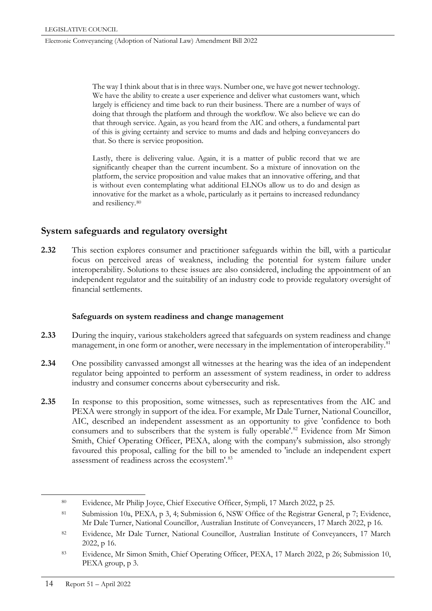The way I think about that is in three ways. Number one, we have got newer technology. We have the ability to create a user experience and deliver what customers want, which largely is efficiency and time back to run their business. There are a number of ways of doing that through the platform and through the workflow. We also believe we can do that through service. Again, as you heard from the AIC and others, a fundamental part of this is giving certainty and service to mums and dads and helping conveyancers do that. So there is service proposition.

Lastly, there is delivering value. Again, it is a matter of public record that we are significantly cheaper than the current incumbent. So a mixture of innovation on the platform, the service proposition and value makes that an innovative offering, and that is without even contemplating what additional ELNOs allow us to do and design as innovative for the market as a whole, particularly as it pertains to increased redundancy and resiliency.[80](#page-25-0)

# **System safeguards and regulatory oversight**

**2.32** This section explores consumer and practitioner safeguards within the bill, with a particular focus on perceived areas of weakness, including the potential for system failure under interoperability. Solutions to these issues are also considered, including the appointment of an independent regulator and the suitability of an industry code to provide regulatory oversight of financial settlements.

# **Safeguards on system readiness and change management**

- **2.33** During the inquiry, various stakeholders agreed that safeguards on system readiness and change management, in one form or another, were necessary in the implementation of interoperability.<sup>[81](#page-25-1)</sup>
- **2.34** One possibility canvassed amongst all witnesses at the hearing was the idea of an independent regulator being appointed to perform an assessment of system readiness, in order to address industry and consumer concerns about cybersecurity and risk.
- **2.35** In response to this proposition, some witnesses, such as representatives from the AIC and PEXA were strongly in support of the idea. For example, Mr Dale Turner, National Councillor, AIC, described an independent assessment as an opportunity to give 'confidence to both consumers and to subscribers that the system is fully operable'.<sup>[82](#page-25-2)</sup> Evidence from Mr Simon Smith, Chief Operating Officer, PEXA, along with the company's submission, also strongly favoured this proposal, calling for the bill to be amended to 'include an independent expert assessment of readiness across the ecosystem'.[83](#page-25-3)

<span id="page-25-0"></span> <sup>80</sup> Evidence, Mr Philip Joyce, Chief Executive Officer, Sympli, 17 March 2022, p 25.

<span id="page-25-1"></span><sup>81</sup> Submission 10a, PEXA, p 3, 4; Submission 6, NSW Office of the Registrar General, p 7; Evidence, Mr Dale Turner, National Councillor, Australian Institute of Conveyancers, 17 March 2022, p 16.

<span id="page-25-2"></span><sup>82</sup> Evidence, Mr Dale Turner, National Councillor, Australian Institute of Conveyancers, 17 March 2022, p 16.

<span id="page-25-3"></span><sup>83</sup> Evidence, Mr Simon Smith, Chief Operating Officer, PEXA, 17 March 2022, p 26; Submission 10, PEXA group, p 3.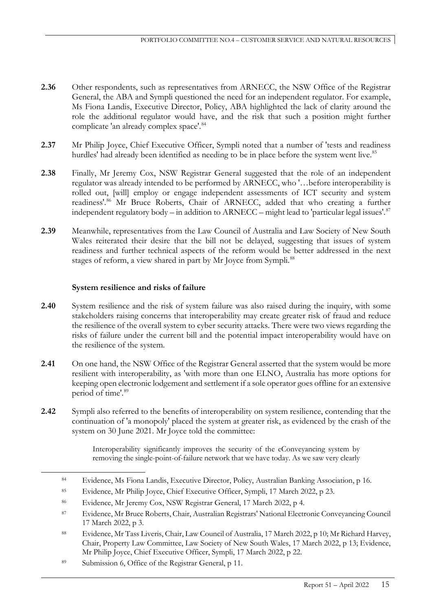- **2.36** Other respondents, such as representatives from ARNECC, the NSW Office of the Registrar General, the ABA and Sympli questioned the need for an independent regulator. For example, Ms Fiona Landis, Executive Director, Policy, ABA highlighted the lack of clarity around the role the additional regulator would have, and the risk that such a position might further complicate 'an already complex space'.<sup>[84](#page-26-0)</sup>
- **2.37** Mr Philip Joyce, Chief Executive Officer, Sympli noted that a number of 'tests and readiness hurdles' had already been identified as needing to be in place before the system went live.<sup>[85](#page-26-1)</sup>
- **2.38** Finally, Mr Jeremy Cox, NSW Registrar General suggested that the role of an independent regulator was already intended to be performed by ARNECC, who '…before interoperability is rolled out, [will] employ or engage independent assessments of ICT security and system readiness'.[86](#page-26-2) Mr Bruce Roberts, Chair of ARNECC, added that who creating a further independent regulatory body – in addition to ARNECC – might lead to 'particular legal issues'. $87$
- **2.39** Meanwhile, representatives from the Law Council of Australia and Law Society of New South Wales reiterated their desire that the bill not be delayed, suggesting that issues of system readiness and further technical aspects of the reform would be better addressed in the next stages of reform, a view shared in part by Mr Joyce from Sympli.<sup>[88](#page-26-4)</sup>

# **System resilience and risks of failure**

- **2.40** System resilience and the risk of system failure was also raised during the inquiry, with some stakeholders raising concerns that interoperability may create greater risk of fraud and reduce the resilience of the overall system to cyber security attacks. There were two views regarding the risks of failure under the current bill and the potential impact interoperability would have on the resilience of the system.
- **2.41** On one hand, the NSW Office of the Registrar General asserted that the system would be more resilient with interoperability, as 'with more than one ELNO, Australia has more options for keeping open electronic lodgement and settlement if a sole operator goes offline for an extensive period of time'.<sup>[89](#page-26-5)</sup>
- **2.42** Sympli also referred to the benefits of interoperability on system resilience, contending that the continuation of 'a monopoly' placed the system at greater risk, as evidenced by the crash of the system on 30 June 2021. Mr Joyce told the committee:

Interoperability significantly improves the security of the eConveyancing system by removing the single-point-of-failure network that we have today. As we saw very clearly

<span id="page-26-0"></span> <sup>84</sup> Evidence, Ms Fiona Landis, Executive Director, Policy, Australian Banking Association, p 16.

<span id="page-26-1"></span><sup>85</sup> Evidence, Mr Philip Joyce, Chief Executive Officer, Sympli, 17 March 2022, p 23.

<span id="page-26-2"></span><sup>86</sup> Evidence, Mr Jeremy Cox, NSW Registrar General, 17 March 2022, p 4.

<span id="page-26-3"></span><sup>87</sup> Evidence, Mr Bruce Roberts, Chair, Australian Registrars' National Electronic Conveyancing Council 17 March 2022, p 3.

<span id="page-26-4"></span><sup>88</sup> Evidence, Mr Tass Liveris, Chair, Law Council of Australia, 17 March 2022, p 10; Mr Richard Harvey, Chair, Property Law Committee, Law Society of New South Wales, 17 March 2022, p 13; Evidence, Mr Philip Joyce, Chief Executive Officer, Sympli, 17 March 2022, p 22.

<span id="page-26-5"></span><sup>89</sup> Submission 6, Office of the Registrar General, p 11.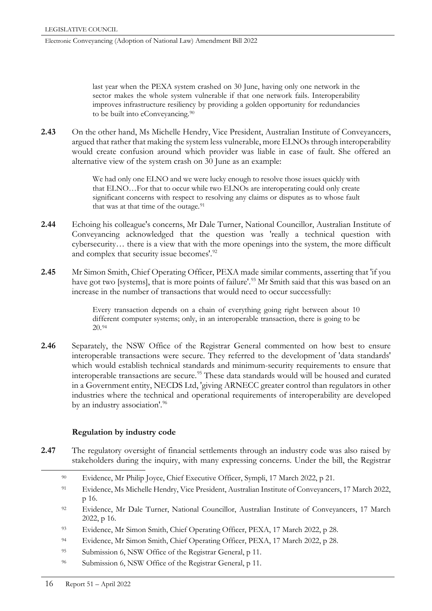last year when the PEXA system crashed on 30 June, having only one network in the sector makes the whole system vulnerable if that one network fails. Interoperability improves infrastructure resiliency by providing a golden opportunity for redundancies to be built into eConveyancing.<sup>90</sup>

**2.43** On the other hand, Ms Michelle Hendry, Vice President, Australian Institute of Conveyancers, argued that rather that making the system less vulnerable, more ELNOs through interoperability would create confusion around which provider was liable in case of fault. She offered an alternative view of the system crash on 30 June as an example:

> We had only one ELNO and we were lucky enough to resolve those issues quickly with that ELNO…For that to occur while two ELNOs are interoperating could only create significant concerns with respect to resolving any claims or disputes as to whose fault that was at that time of the outage.<sup>[91](#page-27-1)</sup>

- **2.44** Echoing his colleague's concerns, Mr Dale Turner, National Councillor, Australian Institute of Conveyancing acknowledged that the question was 'really a technical question with cybersecurity… there is a view that with the more openings into the system, the more difficult and complex that security issue becomes'.<sup>[92](#page-27-2)</sup>
- **2.45** Mr Simon Smith, Chief Operating Officer, PEXA made similar comments, asserting that 'if you have got two [systems], that is more points of failure'.<sup>[93](#page-27-3)</sup> Mr Smith said that this was based on an increase in the number of transactions that would need to occur successfully:

Every transaction depends on a chain of everything going right between about 10 different computer systems; only, in an interoperable transaction, there is going to be 20.[94](#page-27-4)

**2.46** Separately, the NSW Office of the Registrar General commented on how best to ensure interoperable transactions were secure. They referred to the development of 'data standards' which would establish technical standards and minimum-security requirements to ensure that interoperable transactions are secure.<sup>[95](#page-27-5)</sup> These data standards would will be housed and curated in a Government entity, NECDS Ltd, 'giving ARNECC greater control than regulators in other industries where the technical and operational requirements of interoperability are developed by an industry association'.<sup>[96](#page-27-6)</sup>

# **Regulation by industry code**

- <span id="page-27-6"></span><span id="page-27-5"></span><span id="page-27-4"></span><span id="page-27-3"></span><span id="page-27-2"></span><span id="page-27-1"></span><span id="page-27-0"></span>**2.47** The regulatory oversight of financial settlements through an industry code was also raised by stakeholders during the inquiry, with many expressing concerns. Under the bill, the Registrar
	- 90 Evidence, Mr Philip Joyce, Chief Executive Officer, Sympli, 17 March 2022, p 21.
	- <sup>91</sup> Evidence, Ms Michelle Hendry, Vice President, Australian Institute of Conveyancers, 17 March 2022, p 16.
	- <sup>92</sup> Evidence, Mr Dale Turner, National Councillor, Australian Institute of Conveyancers, 17 March 2022, p 16.
	- <sup>93</sup> Evidence, Mr Simon Smith, Chief Operating Officer, PEXA, 17 March 2022, p 28.
	- <sup>94</sup> Evidence, Mr Simon Smith, Chief Operating Officer, PEXA, 17 March 2022, p 28.
	- <sup>95</sup> Submission 6, NSW Office of the Registrar General, p 11.
	- <sup>96</sup> Submission 6, NSW Office of the Registrar General, p 11.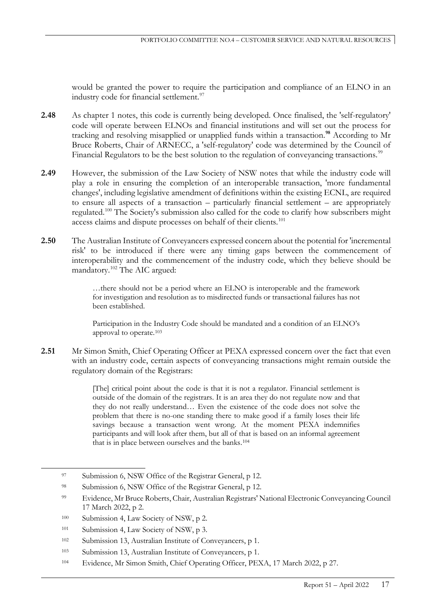would be granted the power to require the participation and compliance of an ELNO in an industry code for financial settlement.<sup>[97](#page-28-0)</sup>

- **2.48** As chapter 1 notes, this code is currently being developed. Once finalised, the 'self-regulatory' code will operate between ELNOs and financial institutions and will set out the process for tracking and resolving misapplied or unapplied funds within a transaction. **[98](#page-28-1)** According to Mr Bruce Roberts, Chair of ARNECC, a 'self-regulatory' code was determined by the Council of Financial Regulators to be the best solution to the regulation of conveyancing transactions.<sup>[99](#page-28-2)</sup>
- **2.49** However, the submission of the Law Society of NSW notes that while the industry code will play a role in ensuring the completion of an interoperable transaction, 'more fundamental changes', including legislative amendment of definitions within the existing ECNL, are required to ensure all aspects of a transaction – particularly financial settlement – are appropriately regulated.[100](#page-28-3) The Society's submission also called for the code to clarify how subscribers might access claims and dispute processes on behalf of their clients.<sup>[101](#page-28-4)</sup>
- **2.50** The Australian Institute of Conveyancers expressed concern about the potential for 'incremental risk' to be introduced if there were any timing gaps between the commencement of interoperability and the commencement of the industry code, which they believe should be mandatory.[102](#page-28-5) The AIC argued:

…there should not be a period where an ELNO is interoperable and the framework for investigation and resolution as to misdirected funds or transactional failures has not been established.

Participation in the Industry Code should be mandated and a condition of an ELNO's approval to operate.[103](#page-28-6)

**2.51** Mr Simon Smith, Chief Operating Officer at PEXA expressed concern over the fact that even with an industry code, certain aspects of conveyancing transactions might remain outside the regulatory domain of the Registrars:

> [The] critical point about the code is that it is not a regulator. Financial settlement is outside of the domain of the registrars. It is an area they do not regulate now and that they do not really understand… Even the existence of the code does not solve the problem that there is no-one standing there to make good if a family loses their life savings because a transaction went wrong. At the moment PEXA indemnifies participants and will look after them, but all of that is based on an informal agreement that is in place between ourselves and the banks.[104](#page-28-7)

<span id="page-28-0"></span><sup>97</sup> Submission 6, NSW Office of the Registrar General, p 12.

<span id="page-28-1"></span><sup>98</sup> Submission 6, NSW Office of the Registrar General, p 12.

<span id="page-28-2"></span><sup>99</sup> Evidence, Mr Bruce Roberts, Chair, Australian Registrars' National Electronic Conveyancing Council 17 March 2022, p 2.

<span id="page-28-3"></span><sup>&</sup>lt;sup>100</sup> Submission 4, Law Society of NSW, p 2.

<span id="page-28-4"></span><sup>&</sup>lt;sup>101</sup> Submission 4, Law Society of NSW, p 3.

<span id="page-28-5"></span><sup>102</sup> Submission 13, Australian Institute of Conveyancers, p 1.

<span id="page-28-6"></span><sup>103</sup> Submission 13, Australian Institute of Conveyancers, p 1.

<span id="page-28-7"></span><sup>104</sup> Evidence, Mr Simon Smith, Chief Operating Officer, PEXA, 17 March 2022, p 27.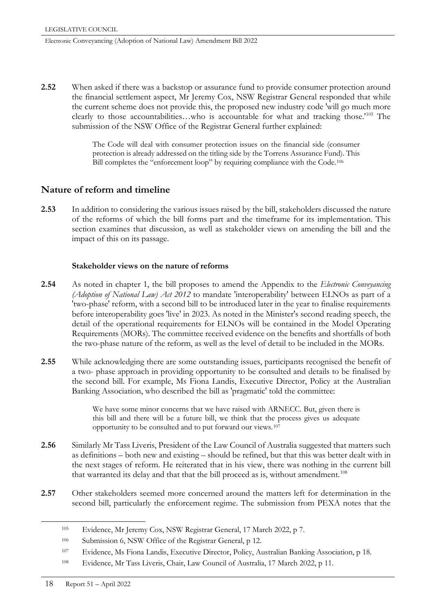**2.52** When asked if there was a backstop or assurance fund to provide consumer protection around the financial settlement aspect, Mr Jeremy Cox, NSW Registrar General responded that while the current scheme does not provide this, the proposed new industry code 'will go much more clearly to those accountabilities…who is accountable for what and tracking those.'[105](#page-29-0) The submission of the NSW Office of the Registrar General further explained:

> The Code will deal with consumer protection issues on the financial side (consumer protection is already addressed on the titling side by the Torrens Assurance Fund). This Bill completes the "enforcement loop" by requiring compliance with the Code.[106](#page-29-1)

# **Nature of reform and timeline**

**2.53** In addition to considering the various issues raised by the bill, stakeholders discussed the nature of the reforms of which the bill forms part and the timeframe for its implementation. This section examines that discussion, as well as stakeholder views on amending the bill and the impact of this on its passage.

### **Stakeholder views on the nature of reforms**

- **2.54** As noted in chapter 1, the bill proposes to amend the Appendix to the *Electronic Conveyancing (Adoption of National Law) Act 2012* to mandate 'interoperability' between ELNOs as part of a 'two-phase' reform, with a second bill to be introduced later in the year to finalise requirements before interoperability goes 'live' in 2023. As noted in the Minister's second reading speech, the detail of the operational requirements for ELNOs will be contained in the Model Operating Requirements (MORs). The committee received evidence on the benefits and shortfalls of both the two-phase nature of the reform, as well as the level of detail to be included in the MORs.
- **2.55** While acknowledging there are some outstanding issues, participants recognised the benefit of a two- phase approach in providing opportunity to be consulted and details to be finalised by the second bill. For example, Ms Fiona Landis, Executive Director, Policy at the Australian Banking Association, who described the bill as 'pragmatic' told the committee:

We have some minor concerns that we have raised with ARNECC. But, given there is this bill and there will be a future bill, we think that the process gives us adequate opportunity to be consulted and to put forward our views.[107](#page-29-2)

- **2.56** Similarly Mr Tass Liveris, President of the Law Council of Australia suggested that matters such as definitions – both new and existing – should be refined, but that this was better dealt with in the next stages of reform. He reiterated that in his view, there was nothing in the current bill that warranted its delay and that that the bill proceed as is, without amendment.<sup>[108](#page-29-3)</sup>
- <span id="page-29-0"></span>**2.57** Other stakeholders seemed more concerned around the matters left for determination in the second bill, particularly the enforcement regime. The submission from PEXA notes that the

 <sup>105</sup> Evidence, Mr Jeremy Cox, NSW Registrar General, 17 March 2022, p 7.

<span id="page-29-1"></span><sup>106</sup> Submission 6, NSW Office of the Registrar General, p 12.

<span id="page-29-2"></span><sup>107</sup> Evidence, Ms Fiona Landis, Executive Director, Policy, Australian Banking Association, p 18.

<span id="page-29-3"></span><sup>108</sup> Evidence, Mr Tass Liveris, Chair, Law Council of Australia, 17 March 2022, p 11.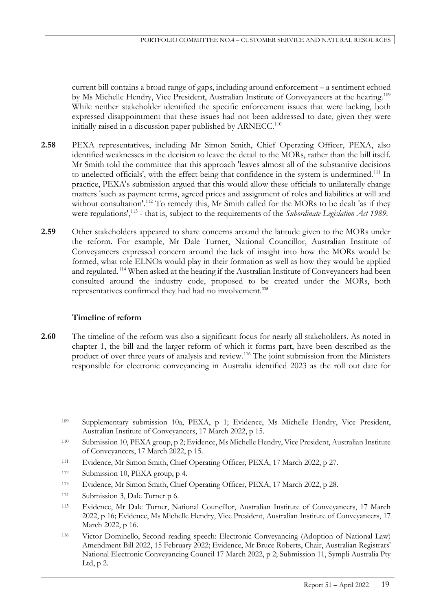current bill contains a broad range of gaps, including around enforcement – a sentiment echoed by Ms Michelle Hendry, Vice President, Australian Institute of Conveyancers at the hearing.<sup>[109](#page-30-0)</sup> While neither stakeholder identified the specific enforcement issues that were lacking, both expressed disappointment that these issues had not been addressed to date, given they were initially raised in a discussion paper published by ARNECC.<sup>[110](#page-30-1)</sup>

- **2.58** PEXA representatives, including Mr Simon Smith, Chief Operating Officer, PEXA, also identified weaknesses in the decision to leave the detail to the MORs, rather than the bill itself. Mr Smith told the committee that this approach 'leaves almost all of the substantive decisions to unelected officials', with the effect being that confidence in the system is undermined.[111](#page-30-2) In practice, PEXA's submission argued that this would allow these officials to unilaterally change matters 'such as payment terms, agreed prices and assignment of roles and liabilities at will and without consultation'.<sup>[112](#page-30-3)</sup> To remedy this, Mr Smith called for the MORs to be dealt 'as if they were regulations',<sup>[113](#page-30-4)</sup> - that is, subject to the requirements of the *Subordinate Legislation Act 1989*.
- **2.59** Other stakeholders appeared to share concerns around the latitude given to the MORs under the reform. For example, Mr Dale Turner, National Councillor, Australian Institute of Conveyancers expressed concern around the lack of insight into how the MORs would be formed, what role ELNOs would play in their formation as well as how they would be applied and regulated.<sup>[114](#page-30-5)</sup> When asked at the hearing if the Australian Institute of Conveyancers had been consulted around the industry code, proposed to be created under the MORs, both representatives confirmed they had had no involvement.**[115](#page-30-6)**

# **Timeline of reform**

**2.60** The timeline of the reform was also a significant focus for nearly all stakeholders. As noted in chapter 1, the bill and the larger reform of which it forms part, have been described as the product of over three years of analysis and review.[116](#page-30-7) The joint submission from the Ministers responsible for electronic conveyancing in Australia identified 2023 as the roll out date for

- <span id="page-30-2"></span><sup>111</sup> Evidence, Mr Simon Smith, Chief Operating Officer, PEXA, 17 March 2022, p 27.
- <span id="page-30-3"></span>112 Submission 10, PEXA group, p 4.
- <span id="page-30-4"></span><sup>113</sup> Evidence, Mr Simon Smith, Chief Operating Officer, PEXA, 17 March 2022, p 28.
- <span id="page-30-5"></span>114 Submission 3, Dale Turner p 6.
- <span id="page-30-6"></span><sup>115</sup> Evidence, Mr Dale Turner, National Councillor, Australian Institute of Conveyancers, 17 March 2022, p 16; Evidence, Ms Michelle Hendry, Vice President, Australian Institute of Conveyancers, 17 March 2022, p 16.

<span id="page-30-0"></span> <sup>109</sup> Supplementary submission 10a, PEXA, p 1; Evidence, Ms Michelle Hendry, Vice President, Australian Institute of Conveyancers, 17 March 2022, p 15.

<span id="page-30-1"></span><sup>110</sup> Submission 10, PEXA group, p 2; Evidence, Ms Michelle Hendry, Vice President, Australian Institute of Conveyancers, 17 March 2022, p 15.

<span id="page-30-7"></span><sup>116</sup> Victor Dominello, Second reading speech: Electronic Conveyancing (Adoption of National Law) Amendment Bill 2022, 15 February 2022; Evidence, Mr Bruce Roberts, Chair, Australian Registrars' National Electronic Conveyancing Council 17 March 2022, p 2; Submission 11, Sympli Australia Pty Ltd, p 2.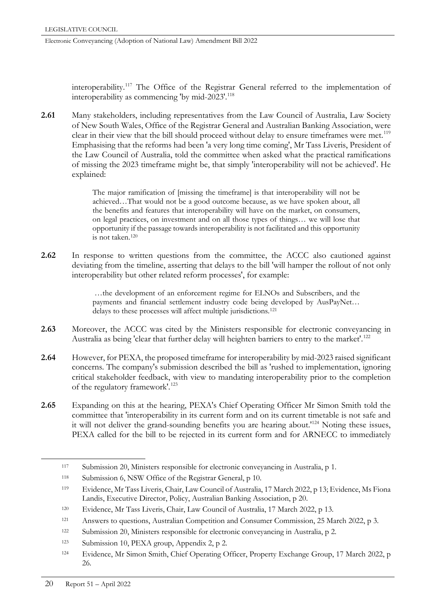interoperability.[117](#page-31-0) The Office of the Registrar General referred to the implementation of interoperability as commencing 'by mid-2023'.<sup>118</sup>

**2.61** Many stakeholders, including representatives from the Law Council of Australia, Law Society of New South Wales, Office of the Registrar General and Australian Banking Association, were clear in their view that the bill should proceed without delay to ensure timeframes were met.<sup>[119](#page-31-2)</sup> Emphasising that the reforms had been 'a very long time coming', Mr Tass Liveris, President of the Law Council of Australia, told the committee when asked what the practical ramifications of missing the 2023 timeframe might be, that simply 'interoperability will not be achieved'. He explained:

> The major ramification of [missing the timeframe] is that interoperability will not be achieved…That would not be a good outcome because, as we have spoken about, all the benefits and features that interoperability will have on the market, on consumers, on legal practices, on investment and on all those types of things… we will lose that opportunity if the passage towards interoperability is not facilitated and this opportunity is not taken.[120](#page-31-3)

**2.62** In response to written questions from the committee, the ACCC also cautioned against deviating from the timeline, asserting that delays to the bill 'will hamper the rollout of not only interoperability but other related reform processes', for example:

> …the development of an enforcement regime for ELNOs and Subscribers, and the payments and financial settlement industry code being developed by AusPayNet… delays to these processes will affect multiple jurisdictions.[121](#page-31-4)

- **2.63** Moreover, the ACCC was cited by the Ministers responsible for electronic conveyancing in Australia as being 'clear that further delay will heighten barriers to entry to the market'.<sup>[122](#page-31-5)</sup>
- **2.64** However, for PEXA, the proposed timeframe for interoperability by mid-2023 raised significant concerns. The company's submission described the bill as 'rushed to implementation, ignoring critical stakeholder feedback, with view to mandating interoperability prior to the completion of the regulatory framework'.<sup>[123](#page-31-6)</sup>
- **2.65** Expanding on this at the hearing, PEXA's Chief Operating Officer Mr Simon Smith told the committee that 'interoperability in its current form and on its current timetable is not safe and it will not deliver the grand-sounding benefits you are hearing about.'[124](#page-31-7) Noting these issues, PEXA called for the bill to be rejected in its current form and for ARNECC to immediately

<span id="page-31-0"></span> <sup>117</sup> Submission 20, Ministers responsible for electronic conveyancing in Australia, p 1.

<span id="page-31-1"></span><sup>118</sup> Submission 6, NSW Office of the Registrar General, p 10.

<span id="page-31-2"></span><sup>119</sup> Evidence, Mr Tass Liveris, Chair, Law Council of Australia, 17 March 2022, p 13; Evidence, Ms Fiona Landis, Executive Director, Policy, Australian Banking Association, p 20.

<span id="page-31-3"></span><sup>120</sup> Evidence, Mr Tass Liveris, Chair, Law Council of Australia, 17 March 2022, p 13.

<span id="page-31-4"></span><sup>121</sup> Answers to questions, Australian Competition and Consumer Commission, 25 March 2022, p 3.

<span id="page-31-5"></span><sup>122</sup> Submission 20, Ministers responsible for electronic conveyancing in Australia, p 2.

<span id="page-31-6"></span><sup>123</sup> Submission 10, PEXA group, Appendix 2, p 2.

<span id="page-31-7"></span><sup>124</sup> Evidence, Mr Simon Smith, Chief Operating Officer, Property Exchange Group, 17 March 2022, p 26.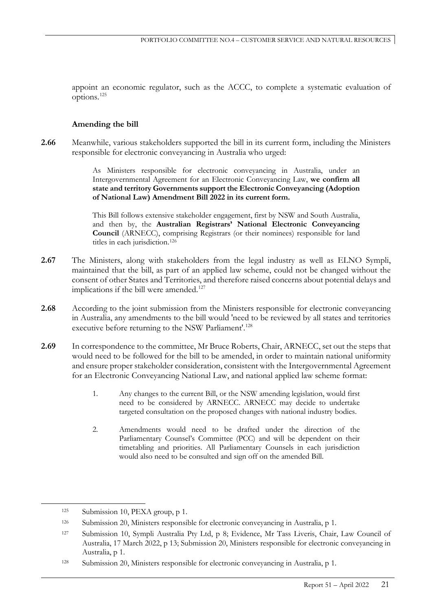appoint an economic regulator, such as the ACCC, to complete a systematic evaluation of options.[125](#page-32-0)

### **Amending the bill**

**2.66** Meanwhile, various stakeholders supported the bill in its current form, including the Ministers responsible for electronic conveyancing in Australia who urged:

> As Ministers responsible for electronic conveyancing in Australia, under an Intergovernmental Agreement for an Electronic Conveyancing Law, **we confirm all state and territory Governments support the Electronic Conveyancing (Adoption of National Law) Amendment Bill 2022 in its current form.**

> This Bill follows extensive stakeholder engagement, first by NSW and South Australia, and then by, the **Australian Registrars' National Electronic Conveyancing Council** (ARNECC), comprising Registrars (or their nominees) responsible for land titles in each jurisdiction.[126](#page-32-1)

- **2.67** The Ministers, along with stakeholders from the legal industry as well as ELNO Sympli, maintained that the bill, as part of an applied law scheme, could not be changed without the consent of other States and Territories, and therefore raised concerns about potential delays and implications if the bill were amended.<sup>[127](#page-32-2)</sup>
- **2.68** According to the joint submission from the Ministers responsible for electronic conveyancing in Australia, any amendments to the bill would 'need to be reviewed by all states and territories executive before returning to the NSW Parliament'.<sup>128</sup>
- **2.69** In correspondence to the committee, Mr Bruce Roberts, Chair, ARNECC, set out the steps that would need to be followed for the bill to be amended, in order to maintain national uniformity and ensure proper stakeholder consideration, consistent with the Intergovernmental Agreement for an Electronic Conveyancing National Law, and national applied law scheme format:
	- 1. Any changes to the current Bill, or the NSW amending legislation, would first need to be considered by ARNECC. ARNECC may decide to undertake targeted consultation on the proposed changes with national industry bodies.
	- 2. Amendments would need to be drafted under the direction of the Parliamentary Counsel's Committee (PCC) and will be dependent on their timetabling and priorities. All Parliamentary Counsels in each jurisdiction would also need to be consulted and sign off on the amended Bill.

<span id="page-32-0"></span><sup>125</sup> Submission 10, PEXA group, p 1.

<span id="page-32-1"></span><sup>126</sup> Submission 20, Ministers responsible for electronic conveyancing in Australia, p 1.

<span id="page-32-2"></span><sup>127</sup> Submission 10, Sympli Australia Pty Ltd, p 8; Evidence, Mr Tass Liveris, Chair, Law Council of Australia, 17 March 2022, p 13; Submission 20, Ministers responsible for electronic conveyancing in Australia, p 1.

<span id="page-32-3"></span><sup>128</sup> Submission 20, Ministers responsible for electronic conveyancing in Australia, p 1.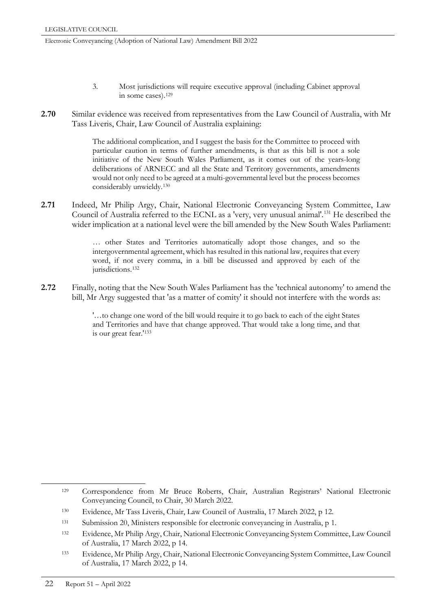- 3. Most jurisdictions will require executive approval (including Cabinet approval in some cases)[.129](#page-33-0)
- **2.70** Similar evidence was received from representatives from the Law Council of Australia, with Mr Tass Liveris, Chair, Law Council of Australia explaining:

The additional complication, and I suggest the basis for the Committee to proceed with particular caution in terms of further amendments, is that as this bill is not a sole initiative of the New South Wales Parliament, as it comes out of the years-long deliberations of ARNECC and all the State and Territory governments, amendments would not only need to be agreed at a multi-governmental level but the process becomes considerably unwieldy.[130](#page-33-1)

**2.71** Indeed, Mr Philip Argy, Chair, National Electronic Conveyancing System Committee, Law Council of Australia referred to the ECNL as a 'very, very unusual animal'[.131](#page-33-2) He described the wider implication at a national level were the bill amended by the New South Wales Parliament:

> … other States and Territories automatically adopt those changes, and so the intergovernmental agreement, which has resulted in this national law, requires that every word, if not every comma, in a bill be discussed and approved by each of the jurisdictions.<sup>[132](#page-33-3)</sup>

**2.72** Finally, noting that the New South Wales Parliament has the 'technical autonomy' to amend the bill, Mr Argy suggested that 'as a matter of comity' it should not interfere with the words as:

> '…to change one word of the bill would require it to go back to each of the eight States and Territories and have that change approved. That would take a long time, and that is our great fear.'[133](#page-33-4)

<span id="page-33-0"></span> <sup>129</sup> Correspondence from Mr Bruce Roberts, Chair, Australian Registrars' National Electronic Conveyancing Council, to Chair, 30 March 2022.

<span id="page-33-1"></span><sup>130</sup> Evidence, Mr Tass Liveris, Chair, Law Council of Australia, 17 March 2022, p 12.

<span id="page-33-2"></span><sup>131</sup> Submission 20, Ministers responsible for electronic conveyancing in Australia, p 1.

<span id="page-33-3"></span><sup>132</sup> Evidence, Mr Philip Argy, Chair, National Electronic Conveyancing System Committee, Law Council of Australia, 17 March 2022, p 14.

<span id="page-33-4"></span><sup>133</sup> Evidence, Mr Philip Argy, Chair, National Electronic Conveyancing System Committee, Law Council of Australia, 17 March 2022, p 14.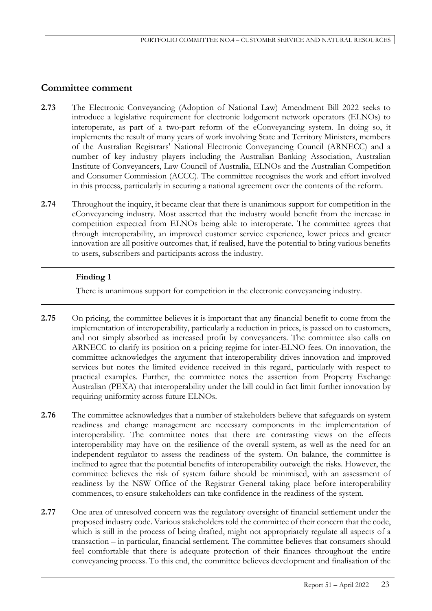# **Committee comment**

- **2.73** The Electronic Conveyancing (Adoption of National Law) Amendment Bill 2022 seeks to introduce a legislative requirement for electronic lodgement network operators (ELNOs) to interoperate, as part of a two-part reform of the eConveyancing system. In doing so, it implements the result of many years of work involving State and Territory Ministers, members of the Australian Registrars' National Electronic Conveyancing Council (ARNECC) and a number of key industry players including the Australian Banking Association, Australian Institute of Conveyancers, Law Council of Australia, ELNOs and the Australian Competition and Consumer Commission (ACCC). The committee recognises the work and effort involved in this process, particularly in securing a national agreement over the contents of the reform.
- **2.74** Throughout the inquiry, it became clear that there is unanimous support for competition in the eConveyancing industry. Most asserted that the industry would benefit from the increase in competition expected from ELNOs being able to interoperate. The committee agrees that through interoperability, an improved customer service experience, lower prices and greater innovation are all positive outcomes that, if realised, have the potential to bring various benefits to users, subscribers and participants across the industry.

# **Finding 1**

There is unanimous support for competition in the electronic conveyancing industry.

- **2.75** On pricing, the committee believes it is important that any financial benefit to come from the implementation of interoperability, particularly a reduction in prices, is passed on to customers, and not simply absorbed as increased profit by conveyancers. The committee also calls on ARNECC to clarify its position on a pricing regime for inter-ELNO fees. On innovation, the committee acknowledges the argument that interoperability drives innovation and improved services but notes the limited evidence received in this regard, particularly with respect to practical examples. Further, the committee notes the assertion from Property Exchange Australian (PEXA) that interoperability under the bill could in fact limit further innovation by requiring uniformity across future ELNOs.
- **2.76** The committee acknowledges that a number of stakeholders believe that safeguards on system readiness and change management are necessary components in the implementation of interoperability. The committee notes that there are contrasting views on the effects interoperability may have on the resilience of the overall system, as well as the need for an independent regulator to assess the readiness of the system. On balance, the committee is inclined to agree that the potential benefits of interoperability outweigh the risks. However, the committee believes the risk of system failure should be minimised, with an assessment of readiness by the NSW Office of the Registrar General taking place before interoperability commences, to ensure stakeholders can take confidence in the readiness of the system.
- **2.77** One area of unresolved concern was the regulatory oversight of financial settlement under the proposed industry code. Various stakeholders told the committee of their concern that the code, which is still in the process of being drafted, might not appropriately regulate all aspects of a transaction – in particular, financial settlement. The committee believes that consumers should feel comfortable that there is adequate protection of their finances throughout the entire conveyancing process. To this end, the committee believes development and finalisation of the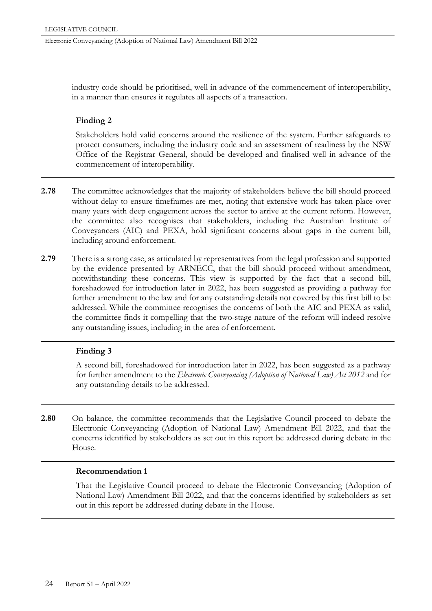industry code should be prioritised, well in advance of the commencement of interoperability, in a manner than ensures it regulates all aspects of a transaction.

### **Finding 2**

Stakeholders hold valid concerns around the resilience of the system. Further safeguards to protect consumers, including the industry code and an assessment of readiness by the NSW Office of the Registrar General, should be developed and finalised well in advance of the commencement of interoperability.

- **2.78** The committee acknowledges that the majority of stakeholders believe the bill should proceed without delay to ensure timeframes are met, noting that extensive work has taken place over many years with deep engagement across the sector to arrive at the current reform. However, the committee also recognises that stakeholders, including the Australian Institute of Conveyancers (AIC) and PEXA, hold significant concerns about gaps in the current bill, including around enforcement.
- **2.79** There is a strong case, as articulated by representatives from the legal profession and supported by the evidence presented by ARNECC, that the bill should proceed without amendment, notwithstanding these concerns. This view is supported by the fact that a second bill, foreshadowed for introduction later in 2022, has been suggested as providing a pathway for further amendment to the law and for any outstanding details not covered by this first bill to be addressed. While the committee recognises the concerns of both the AIC and PEXA as valid, the committee finds it compelling that the two-stage nature of the reform will indeed resolve any outstanding issues, including in the area of enforcement.

# **Finding 3**

A second bill, foreshadowed for introduction later in 2022, has been suggested as a pathway for further amendment to the *Electronic Conveyancing (Adoption of National Law) Act 2012* and for any outstanding details to be addressed*.*

**2.80** On balance, the committee recommends that the Legislative Council proceed to debate the Electronic Conveyancing (Adoption of National Law) Amendment Bill 2022, and that the concerns identified by stakeholders as set out in this report be addressed during debate in the House.

#### **Recommendation 1**

That the Legislative Council proceed to debate the Electronic Conveyancing (Adoption of National Law) Amendment Bill 2022, and that the concerns identified by stakeholders as set out in this report be addressed during debate in the House.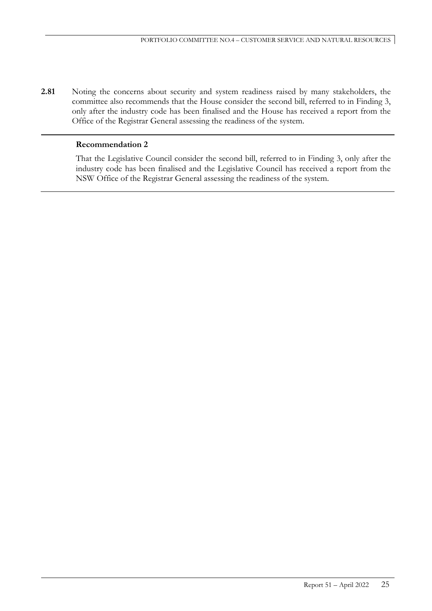**2.81** Noting the concerns about security and system readiness raised by many stakeholders, the committee also recommends that the House consider the second bill, referred to in Finding 3, only after the industry code has been finalised and the House has received a report from the Office of the Registrar General assessing the readiness of the system.

### **Recommendation 2**

That the Legislative Council consider the second bill, referred to in Finding 3, only after the industry code has been finalised and the Legislative Council has received a report from the NSW Office of the Registrar General assessing the readiness of the system.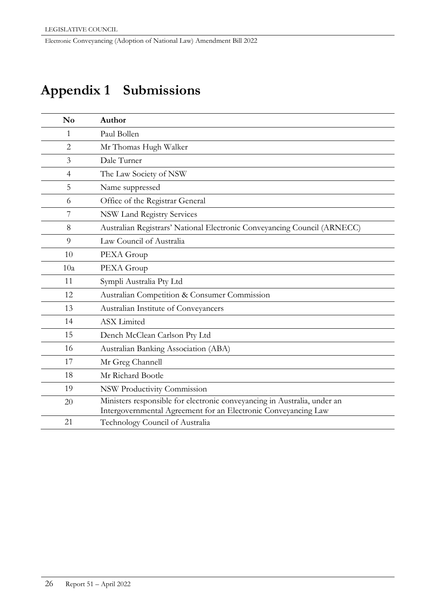# **Appendix 1 Submissions**

| $\mathbf{N}\mathbf{o}$ | Author                                                                   |
|------------------------|--------------------------------------------------------------------------|
| 1                      | Paul Bollen                                                              |
| $\overline{2}$         | Mr Thomas Hugh Walker                                                    |
| 3                      | Dale Turner                                                              |
| $\overline{4}$         | The Law Society of NSW                                                   |
| 5                      | Name suppressed                                                          |
| 6                      | Office of the Registrar General                                          |
| 7                      | <b>NSW Land Registry Services</b>                                        |
| 8                      | Australian Registrars' National Electronic Conveyancing Council (ARNECC) |
| 9                      | Law Council of Australia                                                 |
| 10                     | PEXA Group                                                               |
| 10a                    | PEXA Group                                                               |
| 11                     | Sympli Australia Pty Ltd                                                 |
| 12                     | Australian Competition & Consumer Commission                             |
| 13                     | Australian Institute of Conveyancers                                     |
| 14                     | <b>ASX</b> Limited                                                       |
| 15                     | Dench McClean Carlson Pty Ltd                                            |
| 16                     | Australian Banking Association (ABA)                                     |
| 17                     | Mr Greg Channell                                                         |
| 18                     | Mr Richard Bootle                                                        |
| 19                     | NSW Productivity Commission                                              |
| 20                     | Ministers responsible for electronic conveyancing in Australia, under an |
|                        | Intergovernmental Agreement for an Electronic Conveyancing Law           |
| 21                     | Technology Council of Australia                                          |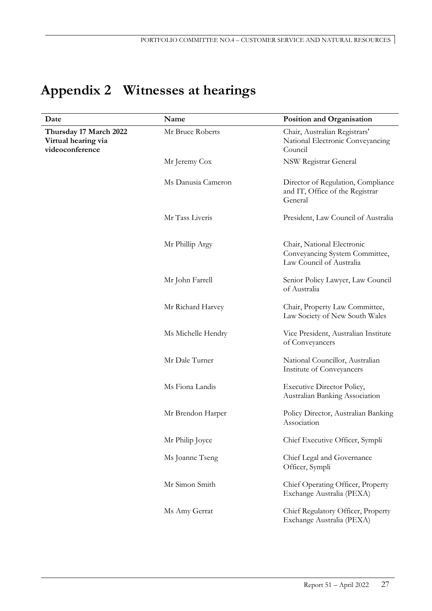# **Appendix 2 Witnesses at hearings**

| Date                                                             | Name               | Position and Organisation                                                                |
|------------------------------------------------------------------|--------------------|------------------------------------------------------------------------------------------|
| Thursday 17 March 2022<br>Virtual hearing via<br>videoconference | Mr Bruce Roberts   | Chair, Australian Registrars'<br>National Electronic Conveyancing<br>Council             |
|                                                                  | Mr Jeremy Cox      | NSW Registrar General                                                                    |
|                                                                  | Ms Danusia Cameron | Director of Regulation, Compliance<br>and IT, Office of the Registrar<br>General         |
|                                                                  | Mr Tass Liveris    | President, Law Council of Australia                                                      |
|                                                                  | Mr Phillip Argy    | Chair, National Electronic<br>Conveyancing System Committee,<br>Law Council of Australia |
|                                                                  | Mr John Farrell    | Senior Policy Lawyer, Law Council<br>of Australia                                        |
|                                                                  | Mr Richard Harvey  | Chair, Property Law Committee,<br>Law Society of New South Wales                         |
|                                                                  | Ms Michelle Hendry | Vice President, Australian Institute<br>of Conveyancers                                  |
|                                                                  | Mr Dale Turner     | National Councillor, Australian<br>Institute of Conveyancers                             |
|                                                                  | Ms Fiona Landis    | <b>Executive Director Policy,</b><br>Australian Banking Association                      |
|                                                                  | Mr Brendon Harper  | Policy Director, Australian Banking<br>Association                                       |
|                                                                  | Mr Philip Joyce    | Chief Executive Officer, Sympli                                                          |
|                                                                  | Ms Joanne Tseng    | Chief Legal and Governance<br>Officer, Sympli                                            |
|                                                                  | Mr Simon Smith     | Chief Operating Officer, Property<br>Exchange Australia (PEXA)                           |
|                                                                  | Ms Amy Gerrat      | Chief Regulatory Officer, Property<br>Exchange Australia (PEXA)                          |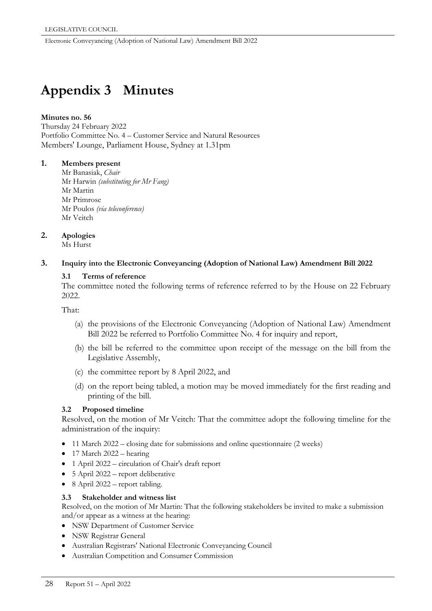# **Appendix 3 Minutes**

#### **Minutes no. 56**

Thursday 24 February 2022 Portfolio Committee No. 4 – Customer Service and Natural Resources Members' Lounge, Parliament House, Sydney at 1.31pm

### **1. Members present**

Mr Banasiak, *Chair* Mr Harwin *(substituting for Mr Fang)* Mr Martin Mr Primrose Mr Poulos *(via teleconference)* Mr Veitch

# **2. Apologies**

Ms Hurst

### **3. Inquiry into the Electronic Conveyancing (Adoption of National Law) Amendment Bill 2022**

### **3.1 Terms of reference**

The committee noted the following terms of reference referred to by the House on 22 February 2022.

That:

- (a) the provisions of the Electronic Conveyancing (Adoption of National Law) Amendment Bill 2022 be referred to Portfolio Committee No. 4 for inquiry and report,
- (b) the bill be referred to the committee upon receipt of the message on the bill from the Legislative Assembly,
- (c) the committee report by 8 April 2022, and
- (d) on the report being tabled, a motion may be moved immediately for the first reading and printing of the bill.

# **3.2 Proposed timeline**

Resolved, on the motion of Mr Veitch: That the committee adopt the following timeline for the administration of the inquiry:

- 11 March 2022 closing date for submissions and online questionnaire (2 weeks)
- 17 March 2022 hearing
- 1 April 2022 circulation of Chair's draft report
- 5 April 2022 report deliberative
- 8 April 2022 report tabling.

#### **3.3 Stakeholder and witness list**

Resolved, on the motion of Mr Martin: That the following stakeholders be invited to make a submission and/or appear as a witness at the hearing:

- NSW Department of Customer Service
- NSW Registrar General
- Australian Registrars' National Electronic Conveyancing Council
- Australian Competition and Consumer Commission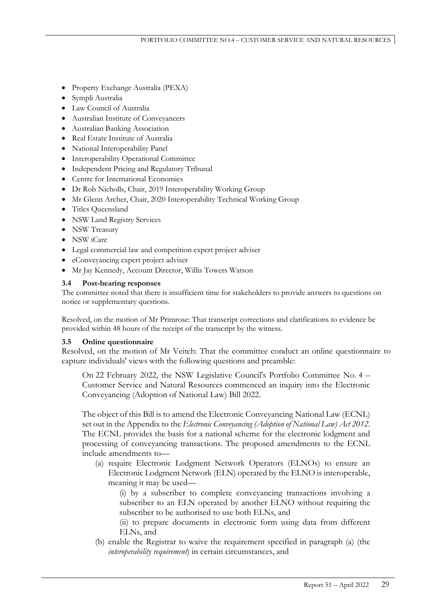- Property Exchange Australia (PEXA)
- Sympli Australia
- Law Council of Australia
- Australian Institute of Conveyancers
- Australian Banking Association
- Real Estate Institute of Australia
- National Interoperability Panel
- Interoperability Operational Committee
- Independent Pricing and Regulatory Tribunal
- Centre for International Economics
- Dr Rob Nicholls, Chair, 2019 Interoperability Working Group
- Mr Glenn Archer, Chair, 2020 Interoperability Technical Working Group
- Titles Queensland
- NSW Land Registry Services
- NSW Treasury
- NSW iCare
- Legal commercial law and competition expert project adviser
- eConveyancing expert project adviser
- Mr Jay Kennedy, Account Director, Willis Towers Watson

# **3.4 Post-hearing responses**

The committee noted that there is insufficient time for stakeholders to provide answers to questions on notice or supplementary questions.

Resolved, on the motion of Mr Primrose: That transcript corrections and clarifications to evidence be provided within 48 hours of the receipt of the transcript by the witness.

# **3.5 Online questionnaire**

Resolved, on the motion of Mr Veitch: That the committee conduct an online questionnaire to capture individuals' views with the following questions and preamble:

On 22 February 2022, the NSW Legislative Council's Portfolio Committee No. 4 – Customer Service and Natural Resources commenced an inquiry into the Electronic Conveyancing (Adoption of National Law) Bill 2022.

The object of this Bill is to amend the Electronic Conveyancing National Law (ECNL) set out in the Appendix to the *Electronic Conveyancing (Adoption of National Law) Act 2012*. The ECNL provides the basis for a national scheme for the electronic lodgment and processing of conveyancing transactions. The proposed amendments to the ECNL include amendments to—

(a) require Electronic Lodgment Network Operators (ELNOs) to ensure an Electronic Lodgment Network (ELN) operated by the ELNO is interoperable, meaning it may be used—

(i) by a subscriber to complete conveyancing transactions involving a subscriber to an ELN operated by another ELNO without requiring the subscriber to be authorised to use both ELNs, and

(ii) to prepare documents in electronic form using data from different ELNs, and

(b) enable the Registrar to waive the requirement specified in paragraph (a) (the *interoperability requirement*) in certain circumstances, and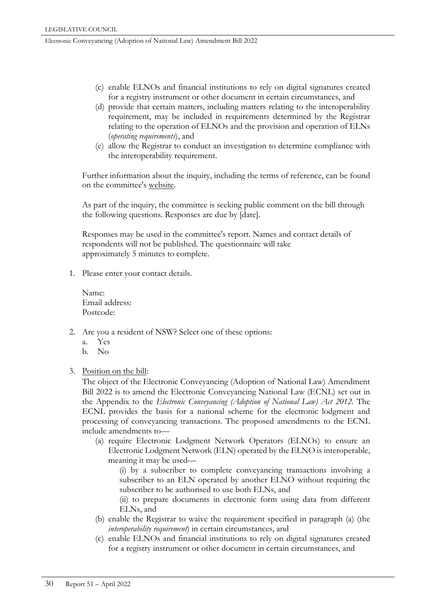- (c) enable ELNOs and financial institutions to rely on digital signatures created for a registry instrument or other document in certain circumstances, and
- (d) provide that certain matters, including matters relating to the interoperability requirement, may be included in requirements determined by the Registrar relating to the operation of ELNOs and the provision and operation of ELNs (*operating requirements*), and
- (e) allow the Registrar to conduct an investigation to determine compliance with the interoperability requirement.

Further information about the inquiry, including the terms of reference, can be found on the committee's website.

As part of the inquiry, the committee is seeking public comment on the bill through the following questions. Responses are due by [date].

Responses may be used in the committee's report. Names and contact details of respondents will not be published. The questionnaire will take approximately 5 minutes to complete.

1. Please enter your contact details.

Name: Email address: Postcode:

- 2. Are you a resident of NSW? Select one of these options:
	- a. Yes
	- b. No
- 3. Position on the bill:

The object of the Electronic Conveyancing (Adoption of National Law) Amendment Bill 2022 is to amend the Electronic Conveyancing National Law (ECNL) set out in the Appendix to the *Electronic Conveyancing (Adoption of National Law) Act 2012*. The ECNL provides the basis for a national scheme for the electronic lodgment and processing of conveyancing transactions. The proposed amendments to the ECNL include amendments to—

(a) require Electronic Lodgment Network Operators (ELNOs) to ensure an Electronic Lodgment Network (ELN) operated by the ELNO is interoperable, meaning it may be used—

(i) by a subscriber to complete conveyancing transactions involving a subscriber to an ELN operated by another ELNO without requiring the subscriber to be authorised to use both ELNs, and

(ii) to prepare documents in electronic form using data from different ELNs, and

- (b) enable the Registrar to waive the requirement specified in paragraph (a) (the *interoperability requirement*) in certain circumstances, and
- (c) enable ELNOs and financial institutions to rely on digital signatures created for a registry instrument or other document in certain circumstances, and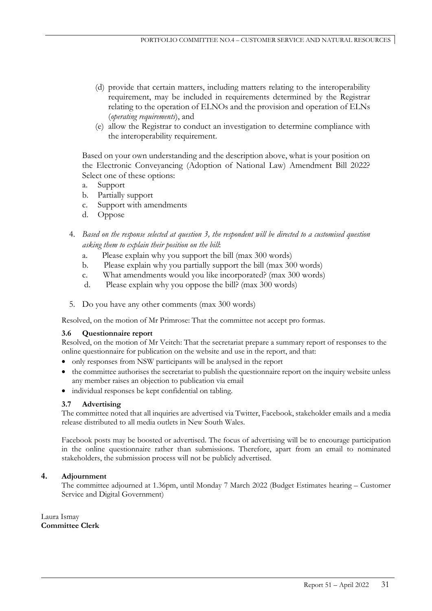- (d) provide that certain matters, including matters relating to the interoperability requirement, may be included in requirements determined by the Registrar relating to the operation of ELNOs and the provision and operation of ELNs (*operating requirements*), and
- (e) allow the Registrar to conduct an investigation to determine compliance with the interoperability requirement.

Based on your own understanding and the description above, what is your position on the Electronic Conveyancing (Adoption of National Law) Amendment Bill 2022? Select one of these options:

- a. Support
- b. Partially support
- c. Support with amendments
- d. Oppose
- 4. *Based on the response selected at question 3, the respondent will be directed to a customised question asking them to explain their position on the bill*:
	- a. Please explain why you support the bill (max 300 words)
	- b. Please explain why you partially support the bill (max 300 words)
	- c. What amendments would you like incorporated? (max 300 words)
	- d. Please explain why you oppose the bill? (max 300 words)
- 5. Do you have any other comments (max 300 words)

Resolved, on the motion of Mr Primrose: That the committee not accept pro formas.

#### **3.6 Questionnaire report**

Resolved, on the motion of Mr Veitch: That the secretariat prepare a summary report of responses to the online questionnaire for publication on the website and use in the report, and that:

- only responses from NSW participants will be analysed in the report
- the committee authorises the secretariat to publish the questionnaire report on the inquiry website unless any member raises an objection to publication via email
- individual responses be kept confidential on tabling.

# **3.7 Advertising**

The committee noted that all inquiries are advertised via Twitter, Facebook, stakeholder emails and a media release distributed to all media outlets in New South Wales.

Facebook posts may be boosted or advertised. The focus of advertising will be to encourage participation in the online questionnaire rather than submissions. Therefore, apart from an email to nominated stakeholders, the submission process will not be publicly advertised.

# **4. Adjournment**

The committee adjourned at 1.36pm, until Monday 7 March 2022 (Budget Estimates hearing – Customer Service and Digital Government)

Laura Ismay **Committee Clerk**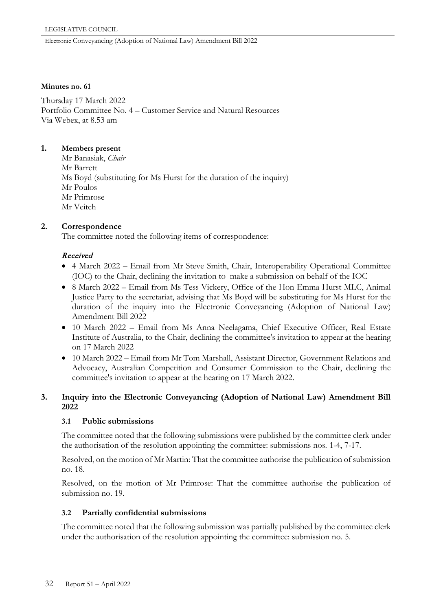#### **Minutes no. 61**

Thursday 17 March 2022 Portfolio Committee No. 4 – Customer Service and Natural Resources Via Webex, at 8.53 am

### **1. Members present**

Mr Banasiak, *Chair* Mr Barrett Ms Boyd (substituting for Ms Hurst for the duration of the inquiry) Mr Poulos Mr Primrose Mr Veitch

# **2. Correspondence**

The committee noted the following items of correspondence:

### Received

- 4 March 2022 Email from Mr Steve Smith, Chair, Interoperability Operational Committee (IOC) to the Chair, declining the invitation to make a submission on behalf of the IOC
- 8 March 2022 Email from Ms Tess Vickery, Office of the Hon Emma Hurst MLC, Animal Justice Party to the secretariat, advising that Ms Boyd will be substituting for Ms Hurst for the duration of the inquiry into the Electronic Conveyancing (Adoption of National Law) Amendment Bill 2022
- 10 March 2022 Email from Ms Anna Neelagama, Chief Executive Officer, Real Estate Institute of Australia, to the Chair, declining the committee's invitation to appear at the hearing on 17 March 2022
- 10 March 2022 Email from Mr Tom Marshall, Assistant Director, Government Relations and Advocacy, Australian Competition and Consumer Commission to the Chair, declining the committee's invitation to appear at the hearing on 17 March 2022.

# **3. Inquiry into the Electronic Conveyancing (Adoption of National Law) Amendment Bill 2022**

# **3.1 Public submissions**

The committee noted that the following submissions were published by the committee clerk under the authorisation of the resolution appointing the committee: submissions nos. 1-4, 7-17.

Resolved, on the motion of Mr Martin: That the committee authorise the publication of submission no. 18.

Resolved, on the motion of Mr Primrose: That the committee authorise the publication of submission no. 19.

# **3.2 Partially confidential submissions**

The committee noted that the following submission was partially published by the committee clerk under the authorisation of the resolution appointing the committee: submission no. 5.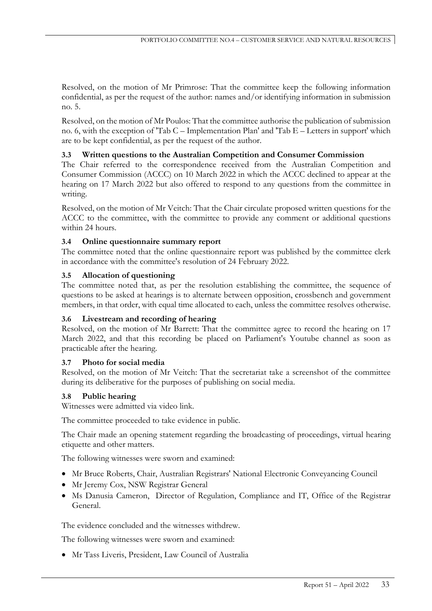Resolved, on the motion of Mr Primrose: That the committee keep the following information confidential, as per the request of the author: names and/or identifying information in submission no. 5.

Resolved, on the motion of Mr Poulos: That the committee authorise the publication of submission no. 6, with the exception of 'Tab C – Implementation Plan' and 'Tab E – Letters in support' which are to be kept confidential, as per the request of the author.

# **3.3 Written questions to the Australian Competition and Consumer Commission**

The Chair referred to the correspondence received from the Australian Competition and Consumer Commission (ACCC) on 10 March 2022 in which the ACCC declined to appear at the hearing on 17 March 2022 but also offered to respond to any questions from the committee in writing.

Resolved, on the motion of Mr Veitch: That the Chair circulate proposed written questions for the ACCC to the committee, with the committee to provide any comment or additional questions within 24 hours.

### **3.4 Online questionnaire summary report**

The committee noted that the online questionnaire report was published by the committee clerk in accordance with the committee's resolution of 24 February 2022.

### **3.5 Allocation of questioning**

The committee noted that, as per the resolution establishing the committee, the sequence of questions to be asked at hearings is to alternate between opposition, crossbench and government members, in that order, with equal time allocated to each, unless the committee resolves otherwise.

#### **3.6 Livestream and recording of hearing**

Resolved, on the motion of Mr Barrett: That the committee agree to record the hearing on 17 March 2022, and that this recording be placed on Parliament's Youtube channel as soon as practicable after the hearing.

#### **3.7 Photo for social media**

Resolved, on the motion of Mr Veitch: That the secretariat take a screenshot of the committee during its deliberative for the purposes of publishing on social media.

# **3.8 Public hearing**

Witnesses were admitted via video link.

The committee proceeded to take evidence in public.

The Chair made an opening statement regarding the broadcasting of proceedings, virtual hearing etiquette and other matters.

The following witnesses were sworn and examined:

- Mr Bruce Roberts, Chair, Australian Registrars' National Electronic Conveyancing Council
- Mr Jeremy Cox, NSW Registrar General
- Ms Danusia Cameron, Director of Regulation, Compliance and IT, Office of the Registrar General.

The evidence concluded and the witnesses withdrew.

The following witnesses were sworn and examined:

• Mr Tass Liveris, President, Law Council of Australia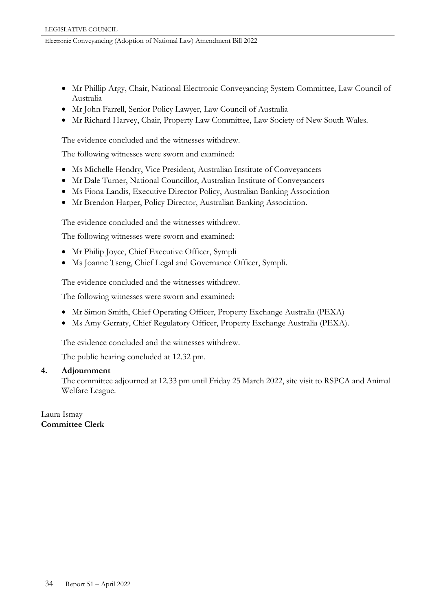- Mr Phillip Argy, Chair, National Electronic Conveyancing System Committee, Law Council of Australia
- Mr John Farrell, Senior Policy Lawyer, Law Council of Australia
- Mr Richard Harvey, Chair, Property Law Committee, Law Society of New South Wales.

The evidence concluded and the witnesses withdrew.

The following witnesses were sworn and examined:

- Ms Michelle Hendry, Vice President, Australian Institute of Conveyancers
- Mr Dale Turner, National Councillor, Australian Institute of Conveyancers
- Ms Fiona Landis, Executive Director Policy, Australian Banking Association
- Mr Brendon Harper, Policy Director, Australian Banking Association.

The evidence concluded and the witnesses withdrew.

The following witnesses were sworn and examined:

- Mr Philip Joyce, Chief Executive Officer, Sympli
- Ms Joanne Tseng, Chief Legal and Governance Officer, Sympli.

The evidence concluded and the witnesses withdrew.

The following witnesses were sworn and examined:

- Mr Simon Smith, Chief Operating Officer, Property Exchange Australia (PEXA)
- Ms Amy Gerraty, Chief Regulatory Officer, Property Exchange Australia (PEXA).

The evidence concluded and the witnesses withdrew.

The public hearing concluded at 12.32 pm.

### **4. Adjournment**

The committee adjourned at 12.33 pm until Friday 25 March 2022, site visit to RSPCA and Animal Welfare League.

Laura Ismay **Committee Clerk**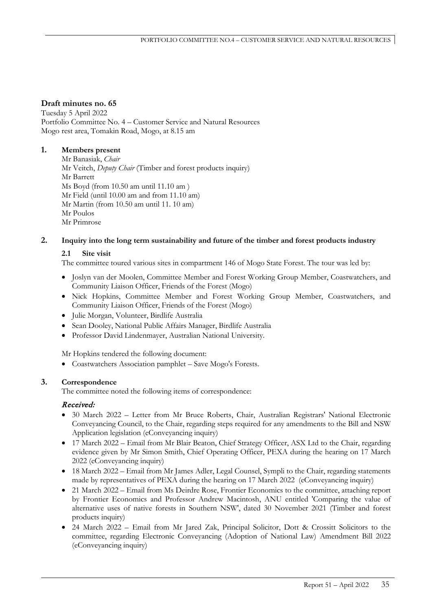### **Draft minutes no. 65**

Tuesday 5 April 2022 Portfolio Committee No. 4 – Customer Service and Natural Resources Mogo rest area, Tomakin Road, Mogo, at 8.15 am

# **1. Members present**

Mr Banasiak, *Chair* Mr Veitch, *Deputy Chair* (Timber and forest products inquiry) Mr Barrett Ms Boyd (from 10.50 am until 11.10 am ) Mr Field (until 10.00 am and from 11.10 am) Mr Martin (from 10.50 am until 11. 10 am) Mr Poulos Mr Primrose

### **2. Inquiry into the long term sustainability and future of the timber and forest products industry**

#### **2.1 Site visit**

The committee toured various sites in compartment 146 of Mogo State Forest. The tour was led by:

- Joslyn van der Moolen, Committee Member and Forest Working Group Member, Coastwatchers, and Community Liaison Officer, Friends of the Forest (Mogo)
- Nick Hopkins, Committee Member and Forest Working Group Member, Coastwatchers, and Community Liaison Officer, Friends of the Forest (Mogo)
- Julie Morgan, Volunteer, Birdlife Australia
- Sean Dooley, National Public Affairs Manager, Birdlife Australia
- Professor David Lindenmayer, Australian National University.

Mr Hopkins tendered the following document:

• Coastwatchers Association pamphlet – Save Mogo's Forests.

# **3. Correspondence**

The committee noted the following items of correspondence:

# Received:

- 30 March 2022 Letter from Mr Bruce Roberts, Chair, Australian Registrars' National Electronic Conveyancing Council, to the Chair, regarding steps required for any amendments to the Bill and NSW Application legislation (eConveyancing inquiry)
- 17 March 2022 Email from Mr Blair Beaton, Chief Strategy Officer, ASX Ltd to the Chair, regarding evidence given by Mr Simon Smith, Chief Operating Officer, PEXA during the hearing on 17 March 2022 (eConveyancing inquiry)
- 18 March 2022 Email from Mr James Adler, Legal Counsel, Sympli to the Chair, regarding statements made by representatives of PEXA during the hearing on 17 March 2022 (eConveyancing inquiry)
- 21 March 2022 Email from Ms Deirdre Rose, Frontier Economics to the committee, attaching report by Frontier Economics and Professor Andrew Macintosh, ANU entitled 'Comparing the value of alternative uses of native forests in Southern NSW', dated 30 November 2021 (Timber and forest products inquiry)
- 24 March 2022 Email from Mr Jared Zak, Principal Solicitor, Dott & Crossitt Solicitors to the committee, regarding Electronic Conveyancing (Adoption of National Law) Amendment Bill 2022 (eConveyancing inquiry)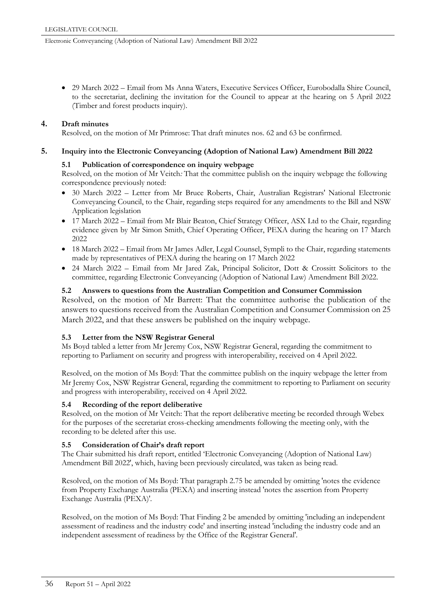• 29 March 2022 – Email from Ms Anna Waters, Executive Services Officer, Eurobodalla Shire Council, to the secretariat, declining the invitation for the Council to appear at the hearing on 5 April 2022 (Timber and forest products inquiry).

#### **4. Draft minutes**

Resolved, on the motion of Mr Primrose: That draft minutes nos. 62 and 63 be confirmed.

#### **5. Inquiry into the Electronic Conveyancing (Adoption of National Law) Amendment Bill 2022**

#### **5.1 Publication of correspondence on inquiry webpage**

Resolved, on the motion of Mr Veitch*:* That the committee publish on the inquiry webpage the following correspondence previously noted:

- 30 March 2022 Letter from Mr Bruce Roberts, Chair, Australian Registrars' National Electronic Conveyancing Council, to the Chair, regarding steps required for any amendments to the Bill and NSW Application legislation
- 17 March 2022 Email from Mr Blair Beaton, Chief Strategy Officer, ASX Ltd to the Chair, regarding evidence given by Mr Simon Smith, Chief Operating Officer, PEXA during the hearing on 17 March 2022
- 18 March 2022 Email from Mr James Adler, Legal Counsel, Sympli to the Chair, regarding statements made by representatives of PEXA during the hearing on 17 March 2022
- 24 March 2022 Email from Mr Jared Zak, Principal Solicitor, Dott & Crossitt Solicitors to the committee, regarding Electronic Conveyancing (Adoption of National Law) Amendment Bill 2022.

#### **5.2 Answers to questions from the Australian Competition and Consumer Commission**

Resolved, on the motion of Mr Barrett: That the committee authorise the publication of the answers to questions received from the Australian Competition and Consumer Commission on 25 March 2022, and that these answers be published on the inquiry webpage.

#### **5.3 Letter from the NSW Registrar General**

Ms Boyd tabled a letter from Mr Jeremy Cox, NSW Registrar General, regarding the commitment to reporting to Parliament on security and progress with interoperability, received on 4 April 2022.

Resolved, on the motion of Ms Boyd: That the committee publish on the inquiry webpage the letter from Mr Jeremy Cox, NSW Registrar General, regarding the commitment to reporting to Parliament on security and progress with interoperability, received on 4 April 2022.

#### **5.4 Recording of the report deliberative**

Resolved, on the motion of Mr Veitch: That the report deliberative meeting be recorded through Webex for the purposes of the secretariat cross-checking amendments following the meeting only, with the recording to be deleted after this use.

#### **5.5 Consideration of Chair's draft report**

The Chair submitted his draft report, entitled 'Electronic Conveyancing (Adoption of National Law) Amendment Bill 2022', which, having been previously circulated, was taken as being read.

Resolved, on the motion of Ms Boyd: That paragraph 2.75 be amended by omitting 'notes the evidence from Property Exchange Australia (PEXA) and inserting instead 'notes the assertion from Property Exchange Australia (PEXA)'.

Resolved, on the motion of Ms Boyd: That Finding 2 be amended by omitting 'including an independent assessment of readiness and the industry code' and inserting instead 'including the industry code and an independent assessment of readiness by the Office of the Registrar General'.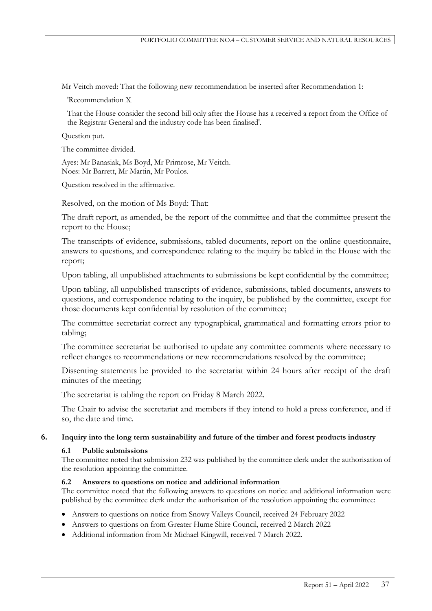Mr Veitch moved: That the following new recommendation be inserted after Recommendation 1:

'Recommendation X

That the House consider the second bill only after the House has a received a report from the Office of the Registrar General and the industry code has been finalised'.

Question put.

The committee divided.

Ayes: Mr Banasiak, Ms Boyd, Mr Primrose, Mr Veitch. Noes: Mr Barrett, Mr Martin, Mr Poulos.

Question resolved in the affirmative.

Resolved, on the motion of Ms Boyd: That:

The draft report, as amended, be the report of the committee and that the committee present the report to the House;

The transcripts of evidence, submissions, tabled documents, report on the online questionnaire, answers to questions, and correspondence relating to the inquiry be tabled in the House with the report;

Upon tabling, all unpublished attachments to submissions be kept confidential by the committee;

Upon tabling, all unpublished transcripts of evidence, submissions, tabled documents, answers to questions, and correspondence relating to the inquiry, be published by the committee, except for those documents kept confidential by resolution of the committee;

The committee secretariat correct any typographical, grammatical and formatting errors prior to tabling;

The committee secretariat be authorised to update any committee comments where necessary to reflect changes to recommendations or new recommendations resolved by the committee;

Dissenting statements be provided to the secretariat within 24 hours after receipt of the draft minutes of the meeting;

The secretariat is tabling the report on Friday 8 March 2022.

The Chair to advise the secretariat and members if they intend to hold a press conference, and if so, the date and time.

#### **6. Inquiry into the long term sustainability and future of the timber and forest products industry**

#### **6.1 Public submissions**

The committee noted that submission 232 was published by the committee clerk under the authorisation of the resolution appointing the committee.

#### **6.2 Answers to questions on notice and additional information**

The committee noted that the following answers to questions on notice and additional information were published by the committee clerk under the authorisation of the resolution appointing the committee:

- Answers to questions on notice from Snowy Valleys Council, received 24 February 2022
- Answers to questions on from Greater Hume Shire Council, received 2 March 2022
- Additional information from Mr Michael Kingwill, received 7 March 2022.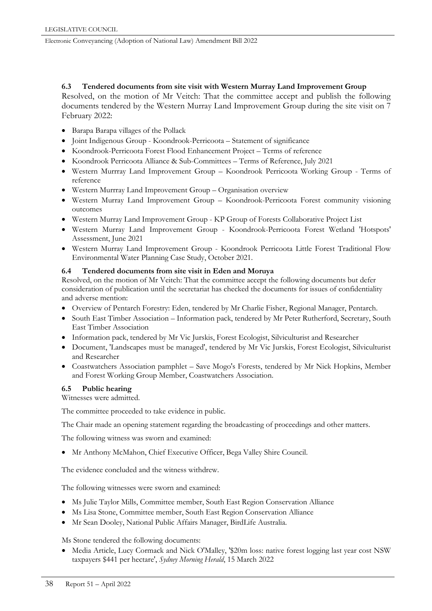#### **6.3 Tendered documents from site visit with Western Murray Land Improvement Group**

Resolved, on the motion of Mr Veitch: That the committee accept and publish the following documents tendered by the Western Murray Land Improvement Group during the site visit on 7 February 2022:

- Barapa Barapa villages of the Pollack
- Joint Indigenous Group Koondrook-Perricoota Statement of significance
- Koondrook-Perricoota Forest Flood Enhancement Project Terms of reference
- Koondrook Perricoota Alliance & Sub-Committees Terms of Reference, July 2021
- Western Murrray Land Improvement Group Koondrook Perricoota Working Group Terms of reference
- Western Murrray Land Improvement Group Organisation overview
- Western Murray Land Improvement Group Koondrook-Perricoota Forest community visioning outcomes
- Western Murray Land Improvement Group KP Group of Forests Collaborative Project List
- Western Murray Land Improvement Group Koondrook-Perricoota Forest Wetland 'Hotspots' Assessment, June 2021
- Western Murray Land Improvement Group Koondrook Perricoota Little Forest Traditional Flow Environmental Water Planning Case Study, October 2021.

#### **6.4 Tendered documents from site visit in Eden and Moruya**

Resolved, on the motion of Mr Veitch: That the committee accept the following documents but defer consideration of publication until the secretariat has checked the documents for issues of confidentiality and adverse mention:

- Overview of Pentarch Forestry: Eden, tendered by Mr Charlie Fisher, Regional Manager, Pentarch.
- South East Timber Association Information pack, tendered by Mr Peter Rutherford, Secretary, South East Timber Association
- Information pack, tendered by Mr Vic Jurskis, Forest Ecologist, Silviculturist and Researcher
- Document, 'Landscapes must be managed', tendered by Mr Vic Jurskis, Forest Ecologist, Silviculturist and Researcher
- Coastwatchers Association pamphlet Save Mogo's Forests, tendered by Mr Nick Hopkins, Member and Forest Working Group Member, Coastwatchers Association.

#### **6.5 Public hearing**

Witnesses were admitted.

The committee proceeded to take evidence in public.

The Chair made an opening statement regarding the broadcasting of proceedings and other matters.

The following witness was sworn and examined:

• Mr Anthony McMahon, Chief Executive Officer, Bega Valley Shire Council.

The evidence concluded and the witness withdrew.

The following witnesses were sworn and examined:

- Ms Julie Taylor Mills, Committee member, South East Region Conservation Alliance
- Ms Lisa Stone, Committee member, South East Region Conservation Alliance
- Mr Sean Dooley, National Public Affairs Manager, BirdLife Australia.

Ms Stone tendered the following documents:

• Media Article, Lucy Cormack and Nick O'Malley, '\$20m loss: native forest logging last year cost NSW taxpayers \$441 per hectare', *Sydney Morning Herald*, 15 March 2022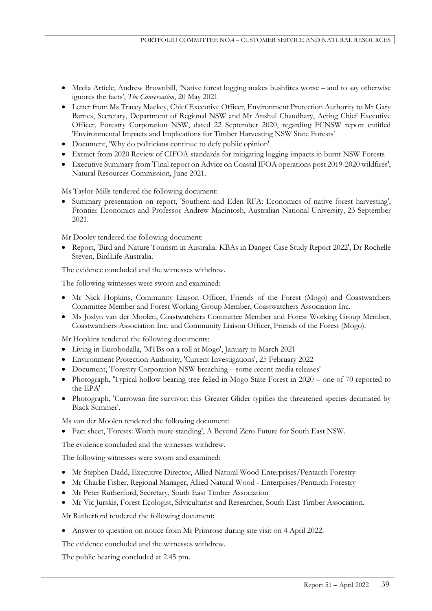- Media Article, Andrew Brownbill, 'Native forest logging makes bushfires worse and to say otherwise ignores the facts', *The Conversation*, 20 May 2021
- Letter from Ms Tracey Mackey, Chief Executive Officer, Environment Protection Authority to Mr Gary Barnes, Secretary, Department of Regional NSW and Mr Anshul Chaudhary, Acting Chief Executive Officer, Forestry Corporation NSW, dated 22 September 2020, regarding FCNSW report entitled 'Environmental Impacts and Implications for Timber Harvesting NSW State Forests'
- Document, 'Why do politicians continue to defy public opinion'
- Extract from 2020 Review of CIFOA standards for mitigating logging impacts in burnt NSW Forests
- Executive Summary from 'Final report on Advice on Coastal IFOA operations post 2019-2020 wildfires', Natural Resources Commission, June 2021.

Ms Taylor-Mills tendered the following document:

• Summary presentation on report, 'Southern and Eden RFA: Economics of native forest harvesting', Frontier Economics and Professor Andrew Macintosh, Australian National University, 23 September 2021.

Mr Dooley tendered the following document:

• Report, 'Bird and Nature Tourism in Australia: KBAs in Danger Case Study Report 2022', Dr Rochelle Steven, BirdLife Australia.

The evidence concluded and the witnesses withdrew.

The following witnesses were sworn and examined:

- Mr Nick Hopkins, Community Liaison Officer, Friends of the Forest (Mogo) and Coastwatchers Committee Member and Forest Working Group Member, Coastwatchers Association Inc.
- Ms Joslyn van der Moolen, Coastwatchers Committee Member and Forest Working Group Member, Coastwatchers Association Inc. and Community Liaison Officer, Friends of the Forest (Mogo).

Mr Hopkins tendered the following documents:

- Living in Eurobodalla, 'MTBs on a roll at Mogo', January to March 2021
- Environment Protection Authority, 'Current Investigations', 25 February 2022
- Document, 'Forestry Corporation NSW breaching some recent media releases'
- Photograph, 'Typical hollow bearing tree felled in Mogo State Forest in 2020 one of 70 reported to the EPA'
- Photograph, 'Currowan fire survivor: this Greater Glider typifies the threatened species decimated by Black Summer'.

Ms van der Moolen tendered the following document:

• Fact sheet, 'Forests: Worth more standing', A Beyond Zero Future for South East NSW.

The evidence concluded and the witnesses withdrew.

The following witnesses were sworn and examined:

- Mr Stephen Dadd, Executive Director, Allied Natural Wood Enterprises/Pentarch Forestry
- Mr Charlie Fisher, Regional Manager, Allied Natural Wood Enterprises/Pentarch Forestry
- Mr Peter Rutherford, Secretary, South East Timber Association
- Mr Vic Jurskis, Forest Ecologist, Silviculturist and Researcher, South East Timber Association.

Mr Rutherford tendered the following document:

• Answer to question on notice from Mr Primrose during site visit on 4 April 2022.

The evidence concluded and the witnesses withdrew.

The public hearing concluded at 2.45 pm.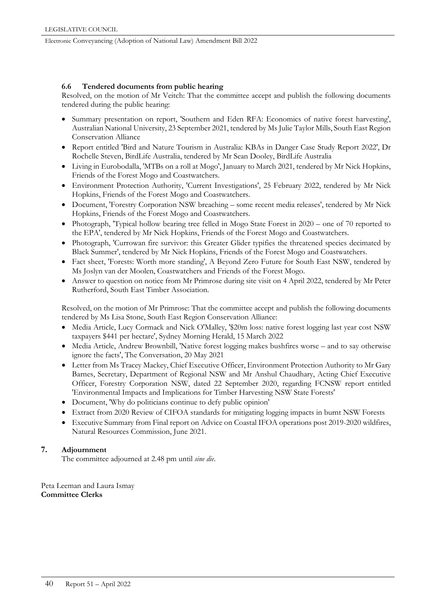#### **6.6 Tendered documents from public hearing**

Resolved, on the motion of Mr Veitch: That the committee accept and publish the following documents tendered during the public hearing:

- Summary presentation on report, 'Southern and Eden RFA: Economics of native forest harvesting', Australian National University, 23 September 2021, tendered by Ms Julie Taylor Mills, South East Region Conservation Alliance
- Report entitled 'Bird and Nature Tourism in Australia: KBAs in Danger Case Study Report 2022', Dr Rochelle Steven, BirdLife Australia, tendered by Mr Sean Dooley, BirdLife Australia
- Living in Eurobodalla, 'MTBs on a roll at Mogo', January to March 2021, tendered by Mr Nick Hopkins, Friends of the Forest Mogo and Coastwatchers.
- Environment Protection Authority, 'Current Investigations', 25 February 2022, tendered by Mr Nick Hopkins, Friends of the Forest Mogo and Coastwatchers.
- Document, 'Forestry Corporation NSW breaching some recent media releases', tendered by Mr Nick Hopkins, Friends of the Forest Mogo and Coastwatchers.
- Photograph, 'Typical hollow bearing tree felled in Mogo State Forest in 2020 one of 70 reported to the EPA', tendered by Mr Nick Hopkins, Friends of the Forest Mogo and Coastwatchers.
- Photograph, 'Currowan fire survivor: this Greater Glider typifies the threatened species decimated by Black Summer', tendered by Mr Nick Hopkins, Friends of the Forest Mogo and Coastwatchers.
- Fact sheet, 'Forests: Worth more standing', A Beyond Zero Future for South East NSW, tendered by Ms Joslyn van der Moolen, Coastwatchers and Friends of the Forest Mogo.
- Answer to question on notice from Mr Primrose during site visit on 4 April 2022, tendered by Mr Peter Rutherford, South East Timber Association.

Resolved, on the motion of Mr Primrose: That the committee accept and publish the following documents tendered by Ms Lisa Stone, South East Region Conservation Alliance:

- Media Article, Lucy Cormack and Nick O'Malley, '\$20m loss: native forest logging last year cost NSW taxpayers \$441 per hectare', Sydney Morning Herald, 15 March 2022
- Media Article, Andrew Brownbill, 'Native forest logging makes bushfires worse and to say otherwise ignore the facts', The Conversation, 20 May 2021
- Letter from Ms Tracey Mackey, Chief Executive Officer, Environment Protection Authority to Mr Gary Barnes, Secretary, Department of Regional NSW and Mr Anshul Chaudhary, Acting Chief Executive Officer, Forestry Corporation NSW, dated 22 September 2020, regarding FCNSW report entitled 'Environmental Impacts and Implications for Timber Harvesting NSW State Forests'
- Document, 'Why do politicians continue to defy public opinion'
- Extract from 2020 Review of CIFOA standards for mitigating logging impacts in burnt NSW Forests
- Executive Summary from Final report on Advice on Coastal IFOA operations post 2019-2020 wildfires, Natural Resources Commission, June 2021.

#### **7. Adjournment**

The committee adjourned at 2.48 pm until *sine die*.

Peta Leeman and Laura Ismay **Committee Clerks**